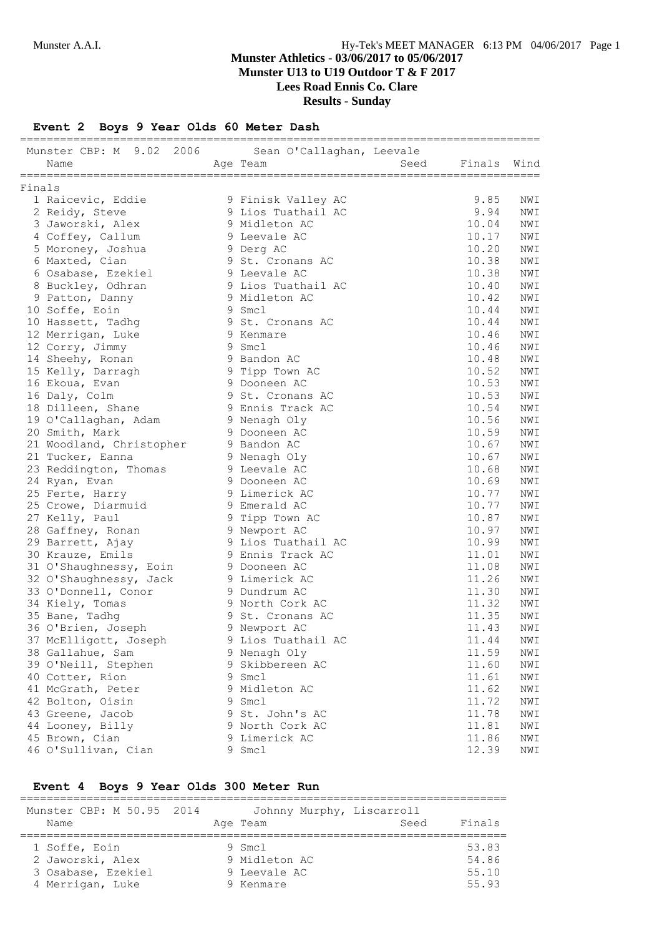**Lees Road Ennis Co. Clare**

## **Results - Sunday**

**Event 2 Boys 9 Year Olds 60 Meter Dash**

| Munster CBP: M 9.02 2006 Sean O'Callaghan, Leevale |   |                                |      |                |                       |
|----------------------------------------------------|---|--------------------------------|------|----------------|-----------------------|
| Name                                               |   | Age Team                       | Seed | Finals Wind    |                       |
|                                                    |   |                                |      |                |                       |
| Finals<br>1 Raicevic, Eddie                        |   | 9 Finisk Valley AC             |      | 9.85           | NWI                   |
| 2 Reidy, Steve                                     |   | 9 Lios Tuathail AC             |      | 9.94           | NWI                   |
| 3 Jaworski, Alex                                   |   | 9 Midleton AC                  |      | 10.04          | NWI                   |
| 4 Coffey, Callum                                   |   | 9 Leevale AC                   |      | 10.17          | NWI                   |
| 5 Moroney, Joshua                                  |   | 9 Derg AC                      |      | 10.20          | NWI                   |
| 6 Maxted, Cian                                     |   | 9 St. Cronans AC               |      | 10.38          | NWI                   |
|                                                    |   | 9 Leevale AC                   |      | 10.38          | NWI                   |
| 6 Osabase, Ezekiel<br>8 Buckley, Odhran            |   | 9 Lios Tuathail AC             |      | 10.40          | NWI                   |
| 9 Patton, Danny                                    |   | 9 Midleton AC                  |      | 10.42          | NWI                   |
| 10 Soffe, Eoin                                     |   | 9 Smcl                         |      | 10.44          | NWI                   |
|                                                    |   | 9 St. Cronans AC               |      | 10.44          |                       |
| 10 Hassett, Tadhg                                  |   | 9 Kenmare                      |      | 10.46          | NWI<br>NWI            |
| 12 Merrigan, Luke<br>12 Corry, Jimmy               |   | 9 Smcl                         |      | 10.46          | NWI                   |
|                                                    |   | 9 Bandon AC                    |      | 10.48          |                       |
| 14 Sheehy, Ronan                                   |   |                                |      | 10.52          | NWI<br>NWI            |
| 15 Kelly, Darragh<br>16 Ekoua, Evan                |   | 9 Tipp Town AC<br>9 Dooneen AC |      | 10.53          | NWI                   |
|                                                    |   | 9 St. Cronans AC               |      | 10.53          |                       |
| 16 Daly, Colm                                      |   | 9 Ennis Track AC               |      | 10.54          | NWI<br>NWI            |
| 18 Dilleen, Shane                                  |   |                                |      | 10.56          |                       |
| 19 O'Callaghan, Adam                               |   | 9 Nenagh Oly<br>9 Dooneen AC   |      | 10.59          | NWI<br>$\texttt{NWI}$ |
| 20 Smith, Mark                                     |   | 9 Bandon AC                    |      | 10.67          |                       |
| 21 Woodland, Christopher                           |   |                                |      | 10.67          | NWI                   |
| 21 Tucker, Eanna                                   |   | 9 Nenagh Oly                   |      |                | NWI                   |
| 23 Reddington, Thomas                              |   | 9 Leevale AC<br>9 Dooneen AC   |      | 10.68          | NWI                   |
| 24 Ryan, Evan                                      |   | 9 Limerick AC                  |      | 10.69<br>10.77 | NWI<br>NWI            |
| 25 Ferte, Harry                                    |   |                                |      |                |                       |
| 25 Crowe, Diarmuid                                 |   | 9 Emerald AC                   |      | 10.77          | NWI                   |
| 27 Kelly, Paul                                     |   | 9 Tipp Town AC                 |      | 10.87          | NWI                   |
| 28 Gaffney, Ronan                                  |   | 9 Newport AC                   |      | 10.97          | NWI                   |
| 29 Barrett, Ajay                                   |   | 9 Lios Tuathail AC             |      | 10.99          | NWI                   |
| 30 Krauze, Emils                                   |   | 9 Ennis Track AC               |      | 11.01          | NWI                   |
| 31 O'Shaughnessy, Eoin                             |   | 9 Dooneen AC                   |      | 11.08          | NWI                   |
| 32 O'Shaughnessy, Jack                             |   | 9 Limerick AC                  |      | 11.26<br>11.30 | NWI                   |
| 33 O'Donnell, Conor                                |   | 9 Dundrum AC                   |      |                | NWI                   |
| 34 Kiely, Tomas                                    |   | 9 North Cork AC                |      | 11.32          | NWI                   |
| 35 Bane, Tadhg                                     |   | 9 St. Cronans AC               |      | 11.35          | NWI                   |
| 36 O'Brien, Joseph                                 |   | 9 Newport AC                   |      | 11.43          | NWI                   |
| 37 McElligott, Joseph                              |   | 9 Lios Tuathail AC             |      | 11.44          | NWI                   |
| 38 Gallahue, Sam                                   |   | 9 Nenagh Oly                   |      | 11.59          | NWI                   |
| 39 O'Neill, Stephen                                |   | 9 Skibbereen AC                |      | 11.60          | NWI                   |
| 40 Cotter, Rion                                    |   | 9 Smcl                         |      | 11.61          | NWI                   |
| 41 McGrath, Peter                                  |   | 9 Midleton AC                  |      | 11.62          | NWI                   |
| 42 Bolton, Oisin                                   | 9 | Smcl                           |      | 11.72          | NWI                   |
| 43 Greene, Jacob                                   |   | 9 St. John's AC                |      | 11.78          | $\texttt{NWT}$        |
| 44 Looney, Billy                                   |   | 9 North Cork AC                |      | 11.81          | NWI                   |
| 45 Brown, Cian                                     |   | 9 Limerick AC                  |      | 11.86          | $\texttt{NWI}$        |
| 46 O'Sullivan, Cian                                |   | 9 Smcl                         |      | 12.39          | NWI                   |

#### **Event 4 Boys 9 Year Olds 300 Meter Run**

| Munster CBP: M 50.95 2014<br>Name                                           | Age Team | Johnny Murphy, Liscarroll                              | Seed | Finals                           |
|-----------------------------------------------------------------------------|----------|--------------------------------------------------------|------|----------------------------------|
| 1 Soffe, Eoin<br>2 Jaworski, Alex<br>3 Osabase, Ezekiel<br>4 Merrigan, Luke |          | $9$ Smcl<br>9 Midleton AC<br>9 Leevale AC<br>9 Kenmare |      | 53.83<br>54.86<br>55.10<br>55.93 |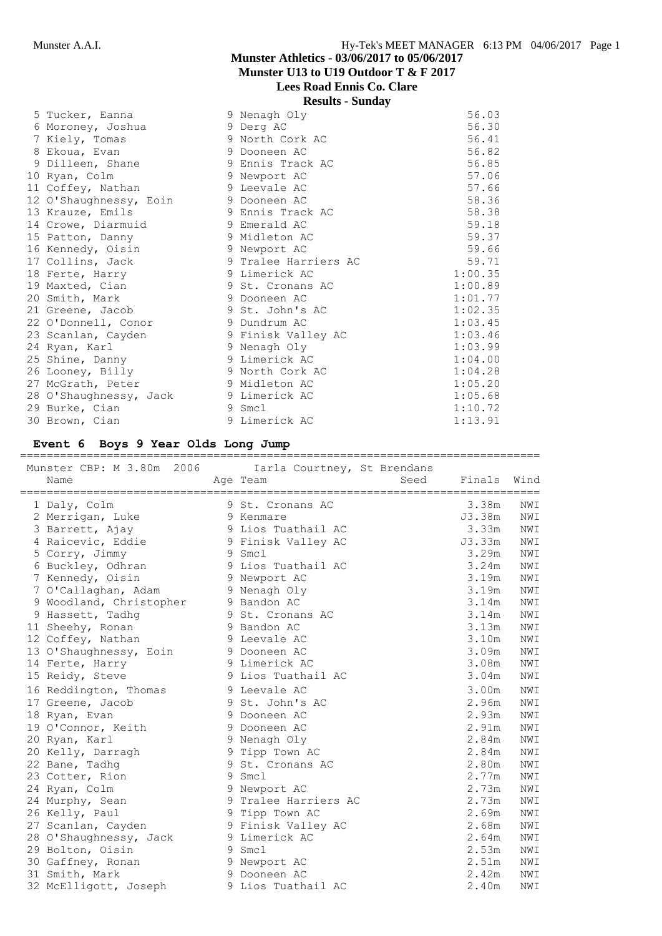**Lees Road Ennis Co. Clare**

**Results - Sunday**

| 5 Tucker, Eanna        | 9 Nenagh Oly         | 56.03   |
|------------------------|----------------------|---------|
| 6 Moroney, Joshua      | 9 Derg AC            | 56.30   |
| 7 Kiely, Tomas         | 9 North Cork AC      | 56.41   |
| 8 Ekoua, Evan          | 9 Dooneen AC         | 56.82   |
| 9 Dilleen, Shane       | 9 Ennis Track AC     | 56.85   |
| 10 Ryan, Colm          | 9 Newport AC         | 57.06   |
| 11 Coffey, Nathan      | 9 Leevale AC         | 57.66   |
| 12 O'Shaughnessy, Eoin | 9 Dooneen AC         | 58.36   |
| 13 Krauze, Emils       | 9 Ennis Track AC     | 58.38   |
| 14 Crowe, Diarmuid     | 9 Emerald AC         | 59.18   |
| 15 Patton, Danny       | 9 Midleton AC        | 59.37   |
| 16 Kennedy, Oisin      | 9 Newport AC         | 59.66   |
| 17 Collins, Jack       | 9 Tralee Harriers AC | 59.71   |
| 18 Ferte, Harry        | 9 Limerick AC        | 1:00.35 |
| 19 Maxted, Cian        | 9 St. Cronans AC     | 1:00.89 |
| 20 Smith, Mark         | 9 Dooneen AC         | 1:01.77 |
| 21 Greene, Jacob       | 9 St. John's AC      | 1:02.35 |
| 22 O'Donnell, Conor    | 9 Dundrum AC         | 1:03.45 |
| 23 Scanlan, Cayden     | 9 Finisk Valley AC   | 1:03.46 |
| 24 Ryan, Karl          | 9 Nenagh Oly         | 1:03.99 |
| 25 Shine, Danny        | 9 Limerick AC        | 1:04.00 |
| 26 Looney, Billy       | 9 North Cork AC      | 1:04.28 |
| 27 McGrath, Peter      | 9 Midleton AC        | 1:05.20 |
| 28 O'Shaughnessy, Jack | 9 Limerick AC        | 1:05.68 |
| 29 Burke, Cian         | 9 Smcl               | 1:10.72 |
| 30 Brown, Cian         | 9 Limerick AC        | 1:13.91 |

#### **Event 6 Boys 9 Year Olds Long Jump**

==============================================================================

| Munster CBP: M 3.80m 2006         |   | Iarla Courtney, St Brendans |      |        |           |
|-----------------------------------|---|-----------------------------|------|--------|-----------|
| Name                              |   | Age Team                    | Seed | Finals | Wind      |
| ================================= |   |                             |      |        | ========= |
| 1 Daly, Colm                      |   | 9 St. Cronans AC            |      | 3.38m  | NWI       |
| 2 Merrigan, Luke                  |   | 9 Kenmare                   |      | J3.38m | NWI       |
| 3 Barrett, Ajay                   |   | 9 Lios Tuathail AC          |      | 3.33m  | NWI       |
| 4 Raicevic, Eddie                 |   | 9 Finisk Valley AC          |      | J3.33m | NWI       |
| 5 Corry, Jimmy                    |   | 9 Smcl                      |      | 3.29m  | NWI       |
| 6 Buckley, Odhran                 |   | 9 Lios Tuathail AC          |      | 3.24m  | NWI       |
| 7 Kennedy, Oisin                  |   | 9 Newport AC                |      | 3.19m  | NWI       |
| 7 O'Callaghan, Adam               |   | 9 Nenagh Oly                |      | 3.19m  | NWI       |
| 9 Woodland, Christopher           |   | 9 Bandon AC                 |      | 3.14m  | NWI       |
| 9 Hassett, Tadhq                  |   | 9 St. Cronans AC            |      | 3.14m  | NWI       |
| 11 Sheehy, Ronan                  |   | 9 Bandon AC                 |      | 3.13m  | NWI       |
| 12 Coffey, Nathan                 |   | 9 Leevale AC                |      | 3.10m  | NWI       |
| 13 O'Shaughnessy, Eoin            |   | 9 Dooneen AC                |      | 3.09m  | NWI       |
| 14 Ferte, Harry                   |   | 9 Limerick AC               |      | 3.08m  | NWI       |
| 15 Reidy, Steve                   |   | 9 Lios Tuathail AC          |      | 3.04m  | NWI       |
| 16 Reddington, Thomas             |   | 9 Leevale AC                |      | 3.00m  | NWI       |
| 17 Greene, Jacob                  | 9 | St. John's AC               |      | 2.96m  | NWI       |
| 18 Ryan, Evan                     | 9 | Dooneen AC                  |      | 2.93m  | NWI       |
| 19 O'Connor, Keith                | 9 | Dooneen AC                  |      | 2.91m  | NWI       |
| 20 Ryan, Karl                     |   | 9 Nenagh Oly                |      | 2.84m  | NWI       |
| 20 Kelly, Darragh                 |   | 9 Tipp Town AC              |      | 2.84m  | NWI       |
| 22 Bane, Tadhq                    |   | 9 St. Cronans AC            |      | 2.80m  | NWI       |
| 23 Cotter, Rion                   | 9 | Smcl                        |      | 2.77m  | NWI       |
| 24 Ryan, Colm                     | 9 | Newport AC                  |      | 2.73m  | NWI       |
| 24 Murphy, Sean                   |   | 9 Tralee Harriers AC        |      | 2.73m  | NWI       |
| 26 Kelly, Paul                    |   | 9 Tipp Town AC              |      | 2.69m  | NWI       |
| 27 Scanlan, Cayden                |   | 9 Finisk Valley AC          |      | 2.68m  | NWI       |
| 28 O'Shaughnessy, Jack            |   | 9 Limerick AC               |      | 2.64m  | NWI       |
| 29 Bolton, Oisin                  |   | 9 Smcl                      |      | 2.53m  | NWI       |
| 30 Gaffney, Ronan                 |   | 9 Newport AC                |      | 2.51m  | NWI       |
| 31 Smith, Mark                    |   | 9 Dooneen AC                |      | 2.42m  | NWI       |
| 32 McElligott, Joseph             |   | 9 Lios Tuathail AC          |      | 2.40m  | NWI       |
|                                   |   |                             |      |        |           |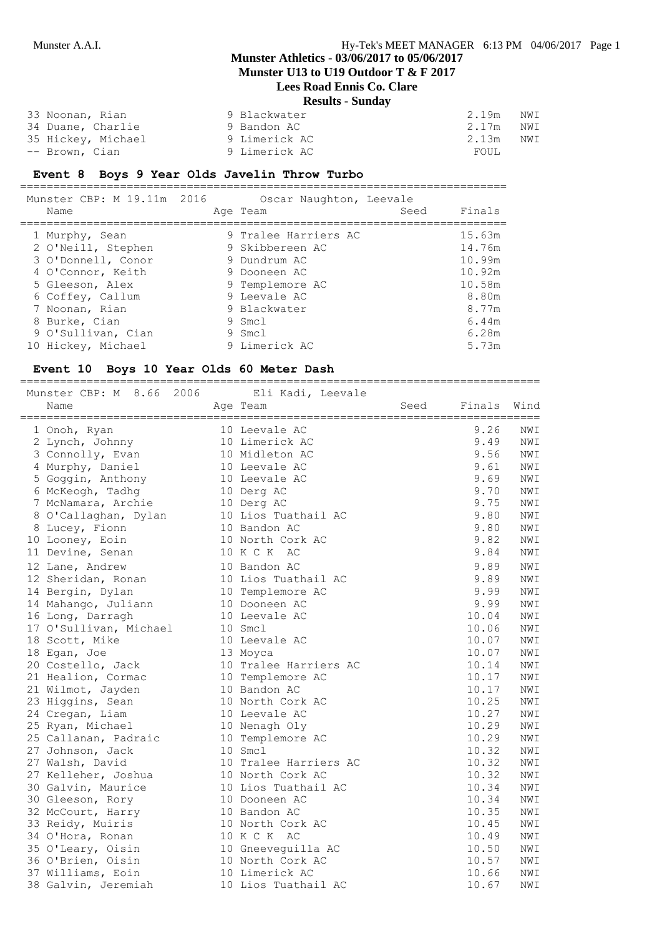## **Munster Athletics - 03/06/2017 to 05/06/2017**

**Munster U13 to U19 Outdoor T & F 2017**

## **Lees Road Ennis Co. Clare**

| <b>Results - Sunday</b> |  |  |
|-------------------------|--|--|
|-------------------------|--|--|

| 33 Noonan, Rian    | 9 Blackwater  | 2.19m<br>NWI |
|--------------------|---------------|--------------|
| 34 Duane, Charlie  | 9 Bandon AC   | 2.17m<br>NWI |
| 35 Hickey, Michael | 9 Limerick AC | 2.13m<br>NWI |
| -- Brown, Cian     | 9 Limerick AC | FOUL         |

#### **Event 8 Boys 9 Year Olds Javelin Throw Turbo**

=========================================================================

| Munster CBP: M 19.11m 2016<br>Name                                                                                                                        | Oscar Naughton, Leevale<br>Age Team                                                                                                  | Seed | Finals                                                                    |
|-----------------------------------------------------------------------------------------------------------------------------------------------------------|--------------------------------------------------------------------------------------------------------------------------------------|------|---------------------------------------------------------------------------|
| 1 Murphy, Sean<br>2 O'Neill, Stephen<br>3 O'Donnell, Conor<br>4 O'Connor, Keith<br>5 Gleeson, Alex<br>6 Coffey, Callum<br>7 Noonan, Rian<br>8 Burke, Cian | 9 Tralee Harriers AC<br>9 Skibbereen AC<br>9 Dundrum AC<br>9 Dooneen AC<br>9 Templemore AC<br>9 Leevale AC<br>9 Blackwater<br>9 Smcl |      | 15.63m<br>14.76m<br>10.99m<br>10.92m<br>10.58m<br>8.80m<br>8.77m<br>6.44m |
| 9 O'Sullivan, Cian<br>10 Hickey, Michael                                                                                                                  | 9 Smcl<br>9 Limerick AC                                                                                                              |      | 6.28m<br>5.73m                                                            |

#### **Event 10 Boys 10 Year Olds 60 Meter Dash**

============================================================================== Munster CBP: M 8.66 2006 Eli Kadi, Leevale<br>Name Age Team Name Age Team Seed Finals Wind ============================================================================== 1 Onoh, Ryan 10 Leevale AC 9.26 NWI 2 Lynch, Johnny 10 Limerick AC 9.49 NWI 3 Connolly, Evan 10 Midleton AC 9.56 NWI 4 Murphy, Daniel 10 Leevale AC 9.61 NWI 5 Goggin, Anthony 10 Leevale AC 9.69 NWI 6 McKeogh, Tadhg 10 Derg AC 9.70 NWI 7 McNamara, Archie 10 Derg AC 9.75 NWI 8 O'Callaghan, Dylan 10 Lios Tuathail AC 9.80 NWI 8 Lucey, Fionn 10 Bandon AC 9.80 NWI 10 Looney, Eoin 10 North Cork AC 9.82 NWI 11 Devine, Senan 10 K C K AC 3.84 NWI 12 Lane, Andrew 10 Bandon AC 9.89 NWI 12 Sheridan, Ronan 10 Lios Tuathail AC 9.89 NWI 14 Bergin, Dylan 10 Templemore AC 9.99 NWI 14 Mahango, Juliann 10 Dooneen AC 9.99 NWI 16 Long, Darragh 10 Leevale AC 10.04 NWI 17 O'Sullivan, Michael 10 Smcl 10.06 NWI 18 Scott, Mike  $10$  Leevale AC  $10.07$  NWI 18 Egan, Joe 13 Moyca 10.07 NWI 20 Costello, Jack 10 Tralee Harriers AC 10.14 NWI 21 Healion, Cormac 10 Templemore AC 10.17 NWI 21 Wilmot, Jayden 10 Bandon AC 10.17 NWI 23 Higgins, Sean 10 North Cork AC 10.25 NWI 24 Cregan, Liam 10 Leevale AC 10.27 NWI 25 Ryan, Michael 10 Nenagh Oly 10.29 NWI 25 Callanan, Padraic 10 Templemore AC 10.29 NWI 27 Johnson, Jack 10 Smcl 10.32 NWI 27 Walsh, David 10 Tralee Harriers AC 10.32 NWI 27 Kelleher, Joshua 10 North Cork AC 10.32 NWI 30 Galvin, Maurice 10 Lios Tuathail AC 10.34 NWI 30 Gleeson, Rory 10 Dooneen AC 10.34 NWI 32 McCourt, Harry 10 Bandon AC 10.35 NWI 33 Reidy, Muiris 10 North Cork AC 10.45 NWI 34 O'Hora, Ronan 10 K C K AC 10.49 NWI 35 O'Leary, Oisin 10 Gneeveguilla AC 10.50 NWI 36 O'Brien, Oisin 10 North Cork AC 10.57 NWI 37 Williams, Eoin 10 Limerick AC 10.66 NWI 38 Galvin, Jeremiah 10 Lios Tuathail AC 10.67 NWI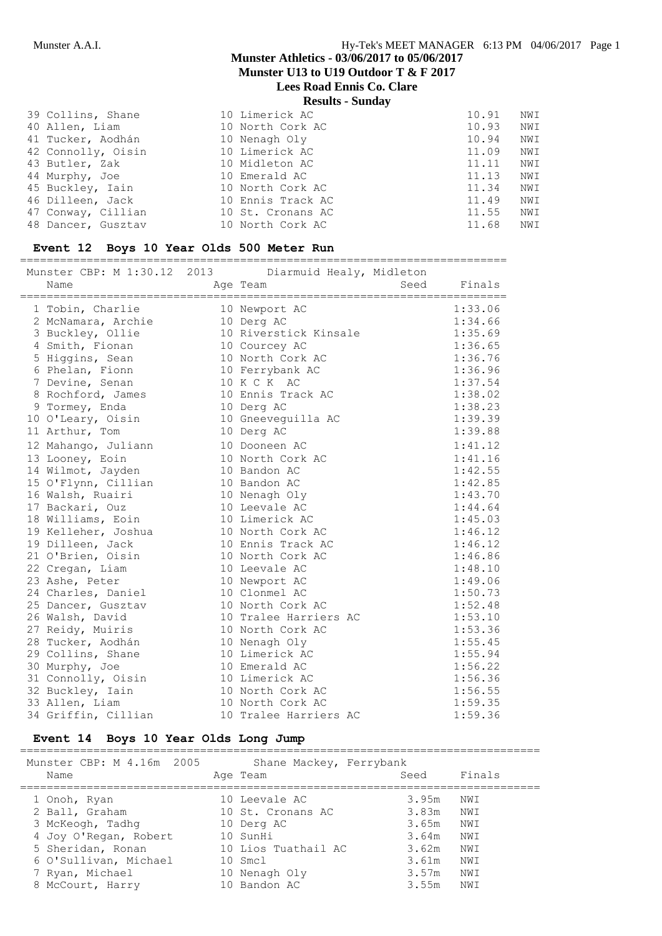# **Munster Athletics - 03/06/2017 to 05/06/2017**

**Munster U13 to U19 Outdoor T & F 2017**

# **Lees Road Ennis Co. Clare**

**Results - Sunday**

| 39 Collins, Shane  | 10 Limerick AC    | 10.91 | NWI |
|--------------------|-------------------|-------|-----|
| 40 Allen, Liam     | 10 North Cork AC  | 10.93 | NWI |
| 41 Tucker, Aodhán  | 10 Nenagh Oly     | 10.94 | NWI |
| 42 Connolly, Oisin | 10 Limerick AC    | 11.09 | NWI |
| 43 Butler, Zak     | 10 Midleton AC    | 11.11 | NWI |
| 44 Murphy, Joe     | 10 Emerald AC     | 11.13 | NWI |
| 45 Buckley, Iain   | 10 North Cork AC  | 11.34 | NWI |
| 46 Dilleen, Jack   | 10 Ennis Track AC | 11.49 | NWI |
| 47 Conway, Cillian | 10 St. Cronans AC | 11.55 | NWI |
| 48 Dancer, Gusztav | 10 North Cork AC  | 11.68 | NWI |

#### **Event 12 Boys 10 Year Olds 500 Meter Run**

=========================================================================

| Munster CBP: M 1:30.12 2013 Diarmuid Healy, Midleton |                       |      |         |
|------------------------------------------------------|-----------------------|------|---------|
| Name                                                 | Age Team              | Seed | Finals  |
|                                                      |                       |      |         |
| 1 Tobin, Charlie                                     | 10 Newport AC         |      | 1:33.06 |
| 2 McNamara, Archie                                   | 10 Derg AC            |      | 1:34.66 |
| 3 Buckley, Ollie                                     | 10 Riverstick Kinsale |      | 1:35.69 |
| 4 Smith, Fionan                                      | 10 Courcey AC         |      | 1:36.65 |
| 5 Higgins, Sean                                      | 10 North Cork AC      |      | 1:36.76 |
| 6 Phelan, Fionn                                      | 10 Ferrybank AC       |      | 1:36.96 |
| 7 Devine, Senan                                      | 10 K C K AC           |      | 1:37.54 |
| 8 Rochford, James                                    | 10 Ennis Track AC     |      | 1:38.02 |
| 9 Tormey, Enda                                       | 10 Derg AC            |      | 1:38.23 |
| 10 O'Leary, Oisin                                    | 10 Gneeveguilla AC    |      | 1:39.39 |
| 11 Arthur, Tom                                       | 10 Derg AC            |      | 1:39.88 |
| 12 Mahango, Juliann                                  | 10 Dooneen AC         |      | 1:41.12 |
| 13 Looney, Eoin                                      | 10 North Cork AC      |      | 1:41.16 |
| 14 Wilmot, Jayden                                    | 10 Bandon AC          |      | 1:42.55 |
| 15 O'Flynn, Cillian                                  | 10 Bandon AC          |      | 1:42.85 |
| 16 Walsh, Ruairi                                     | 10 Nenagh Oly         |      | 1:43.70 |
| 17 Backari, Ouz                                      | 10 Leevale AC         |      | 1:44.64 |
| 18 Williams, Eoin                                    | 10 Limerick AC        |      | 1:45.03 |
| 19 Kelleher, Joshua                                  | 10 North Cork AC      |      | 1:46.12 |
| 19 Dilleen, Jack                                     | 10 Ennis Track AC     |      | 1:46.12 |
| 21 O'Brien, Oisin                                    | 10 North Cork AC      |      | 1:46.86 |
| 22 Cregan, Liam                                      | 10 Leevale AC         |      | 1:48.10 |
| 23 Ashe, Peter                                       | 10 Newport AC         |      | 1:49.06 |
| 24 Charles, Daniel                                   | 10 Clonmel AC         |      | 1:50.73 |
| 25 Dancer, Gusztav                                   | 10 North Cork AC      |      | 1:52.48 |
| 26 Walsh, David                                      | 10 Tralee Harriers AC |      | 1:53.10 |
| 27 Reidy, Muiris                                     | 10 North Cork AC      |      | 1:53.36 |
| 28 Tucker, Aodhán                                    | 10 Nenagh Oly         |      | 1:55.45 |
| 29 Collins, Shane                                    | 10 Limerick AC        |      | 1:55.94 |
| 30 Murphy, Joe                                       | 10 Emerald AC         |      | 1:56.22 |
| 31 Connolly, Oisin                                   | 10 Limerick AC        |      | 1:56.36 |
| 32 Buckley, Iain                                     | 10 North Cork AC      |      | 1:56.55 |
| 33 Allen, Liam                                       | 10 North Cork AC      |      | 1:59.35 |
| 34 Griffin, Cillian                                  | 10 Tralee Harriers AC |      | 1:59.36 |

#### **Event 14 Boys 10 Year Olds Long Jump**

| Munster CBP: M 4.16m 2005 | Shane Mackey, Ferrybank |       |        |
|---------------------------|-------------------------|-------|--------|
| Name                      | Age Team                | Seed  | Finals |
| 1 Onoh, Ryan              | 10 Leevale AC           | 3.95m | NWI    |
| 2 Ball, Graham            | 10 St. Cronans AC       | 3.83m | NWI    |
| 3 McKeogh, Tadhq          | 10 Derg AC              | 3.65m | NWI    |
| 4 Joy O'Regan, Robert     | 10 SunHi                | 3.64m | NWI    |
| 5 Sheridan, Ronan         | 10 Lios Tuathail AC     | 3.62m | NWI    |
| 6 O'Sullivan, Michael     | 10 Smcl                 | 3.61m | NWI    |
| 7 Ryan, Michael           | 10 Nenagh Oly           | 3.57m | NWI    |
| 8 McCourt, Harry          | 10 Bandon AC            | 3.55m | NWI    |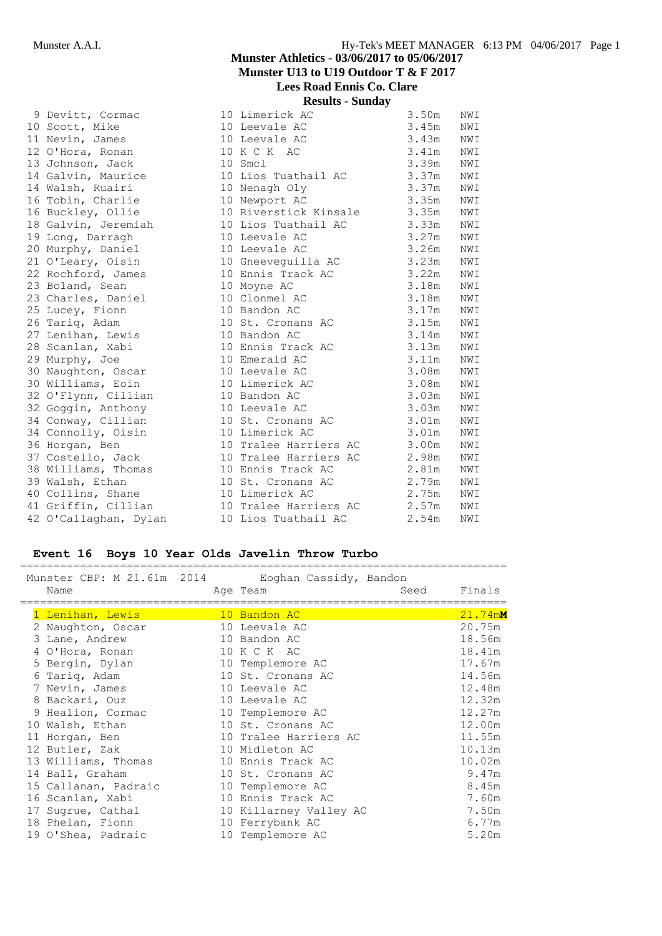| 9 Devitt, Cormac      | 10 Limerick AC        | 3.50m | NWI |
|-----------------------|-----------------------|-------|-----|
| 10 Scott, Mike        | 10 Leevale AC         | 3.45m | NWI |
| 11 Nevin, James       | 10 Leevale AC         | 3.43m | NWI |
| 12 O'Hora, Ronan      | 10 K C K AC           | 3.41m | NWI |
| 13 Johnson, Jack      | 10 Smcl               | 3.39m | NWI |
| 14 Galvin, Maurice    | 10 Lios Tuathail AC   | 3.37m | NWI |
| 14 Walsh, Ruairi      | 10 Nenagh Oly         | 3.37m | NWI |
| 16 Tobin, Charlie     | 10 Newport AC         | 3.35m | NWI |
| 16 Buckley, Ollie     | 10 Riverstick Kinsale | 3.35m | NWI |
| 18 Galvin, Jeremiah   | 10 Lios Tuathail AC   | 3.33m | NWI |
| 19 Long, Darragh      | 10 Leevale AC         | 3.27m | NWI |
| 20 Murphy, Daniel     | 10 Leevale AC         | 3.26m | NWI |
| 21 O'Leary, Oisin     | 10 Gneeveguilla AC    | 3.23m | NWI |
| 22 Rochford, James    | 10 Ennis Track AC     | 3.22m | NWI |
| 23 Boland, Sean       | 10 Moyne AC           | 3.18m | NWI |
| 23 Charles, Daniel    | 10 Clonmel AC         | 3.18m | NWI |
| 25 Lucey, Fionn       | 10 Bandon AC          | 3.17m | NWI |
| 26 Tariq, Adam        | 10 St. Cronans AC     | 3.15m | NWI |
| 27 Lenihan, Lewis     | 10 Bandon AC          | 3.14m | NWI |
| 28 Scanlan, Xabi      | 10 Ennis Track AC     | 3.13m | NWI |
| 29 Murphy, Joe        | 10 Emerald AC         | 3.11m | NWI |
| 30 Naughton, Oscar    | 10 Leevale AC         | 3.08m | NWI |
| 30 Williams, Eoin     | 10 Limerick AC        | 3.08m | NWI |
| 32 O'Flynn, Cillian   | 10 Bandon AC          | 3.03m | NWI |
| 32 Goggin, Anthony    | 10 Leevale AC         | 3.03m | NWI |
| 34 Conway, Cillian    | 10 St. Cronans AC     | 3.01m | NWI |
| 34 Connolly, Oisin    | 10 Limerick AC        | 3.01m | NWI |
| 36 Horgan, Ben        | 10 Tralee Harriers AC | 3.00m | NWI |
| 37 Costello, Jack     | 10 Tralee Harriers AC | 2.98m | NWI |
| 38 Williams, Thomas   | 10 Ennis Track AC     | 2.81m | NWI |
| 39 Walsh, Ethan       | 10 St. Cronans AC     | 2.79m | NWI |
| 40 Collins, Shane     | 10 Limerick AC        | 2.75m | NWI |
| 41 Griffin, Cillian   | 10 Tralee Harriers AC | 2.57m | NWI |
| 42 O'Callaghan, Dylan | 10 Lios Tuathail AC   | 2.54m | NWI |

## **Event 16 Boys 10 Year Olds Javelin Throw Turbo**

|                      | Munster CBP: M 21.61m 2014 Eoghan Cassidy, Bandon |         |
|----------------------|---------------------------------------------------|---------|
| Name                 | Seed<br>Age Team                                  | Finals  |
|                      |                                                   |         |
| 1 Lenihan, Lewis     | 10 Bandon AC                                      | 21.74mM |
| 2 Naughton, Oscar    | 10 Leevale AC                                     | 20.75m  |
| 3 Lane, Andrew       | 10 Bandon AC                                      | 18.56m  |
| 4 O'Hora, Ronan      | 10 K C K AC                                       | 18.41m  |
| 5 Bergin, Dylan      | 10 Templemore AC                                  | 17.67m  |
| 6 Tariq, Adam        | 10 St. Cronans AC                                 | 14.56m  |
| 7 Nevin, James       | 10 Leevale AC                                     | 12.48m  |
| 8 Backari, Ouz       | 10 Leevale AC                                     | 12.32m  |
| 9 Healion, Cormac    | 10 Templemore AC                                  | 12.27m  |
| 10 Walsh, Ethan      | 10 St. Cronans AC                                 | 12.00m  |
| 11 Horgan, Ben       | 10 Tralee Harriers AC                             | 11.55m  |
| 12 Butler, Zak       | 10 Midleton AC                                    | 10.13m  |
| 13 Williams, Thomas  | 10 Ennis Track AC                                 | 10.02m  |
| 14 Ball, Graham      | 10 St. Cronans AC                                 | 9.47m   |
| 15 Callanan, Padraic | 10 Templemore AC                                  | 8.45m   |
| 16 Scanlan, Xabi     | 10 Ennis Track AC                                 | 7.60m   |
| 17 Sugrue, Cathal    | 10 Killarney Valley AC                            | 7.50m   |
| 18 Phelan, Fionn     | 10 Ferrybank AC                                   | 6.77m   |
| 19 O'Shea, Padraic   | 10 Templemore AC                                  | 5.20m   |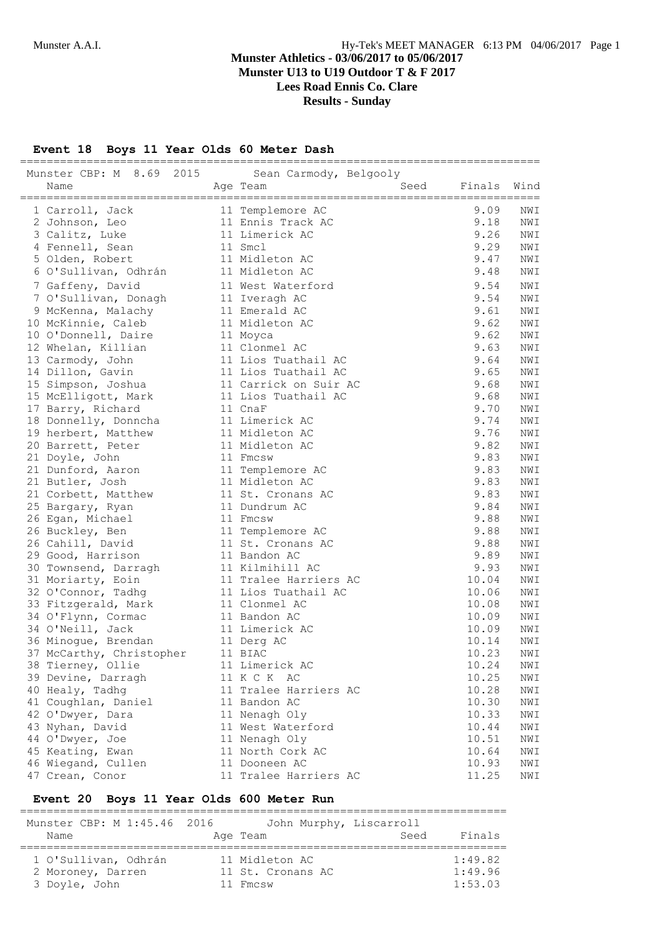# **Munster U13 to U19 Outdoor T & F 2017**

**Lees Road Ennis Co. Clare**

**Results - Sunday**

**Event 18 Boys 11 Year Olds 60 Meter Dash**

| Munster CBP: M 8.69 2015 Sean Carmody, Belgooly |                                              |              |            |
|-------------------------------------------------|----------------------------------------------|--------------|------------|
| Name                                            | Seed<br>Age Team                             | Finals       | Wind       |
| 1 Carroll, Jack                                 | 11 Templemore AC                             | 9.09         | NWI        |
| 2 Johnson, Leo                                  | 11 Ennis Track AC                            | 9.18         | NWI        |
| 3 Calitz, Luke                                  | 11 Limerick AC                               | 9.26         | NWI        |
| 4 Fennell, Sean                                 | 11 Smcl                                      | 9.29         | NWI        |
| 5 Olden, Robert                                 | 11 Midleton AC                               | 9.47         | NWI        |
| 6 O'Sullivan, Odhrán                            | 11 Midleton AC                               | 9.48         | NWI        |
|                                                 | 11 West Waterford                            | 9.54         | NWI        |
| 7 Gaffeny, David                                |                                              | 9.54         | NWI        |
| 7 O'Sullivan, Donagh                            | 11 Iveragh AC                                | 9.61         |            |
| 9 McKenna, Malachy                              | 11 Emerald AC<br>11 Midleton AC              | 9.62         | NWI<br>NWI |
| 10 McKinnie, Caleb                              |                                              |              |            |
| 10 O'Donnell, Daire                             | 11 Moyca                                     | 9.62<br>9.63 | NWI        |
| 12 Whelan, Killian                              | 11 Clonmel AC<br>11 Lios Tuathail AC         | 9.64         | NWI        |
| 13 Carmody, John                                |                                              | 9.65         | NWI        |
| 14 Dillon, Gavin                                | 11 Lios Tuathail AC<br>11 Carrick on Suir AC | 9.68         | NWI        |
| 15 Simpson, Joshua                              |                                              | 9.68         | NWI        |
| 15 McElligott, Mark                             | 11 Lios Tuathail AC<br>11 CnaF               | 9.70         | NWI<br>NWI |
| 17 Barry, Richard                               | 11 Limerick AC                               | 9.74         | NWI        |
| 18 Donnelly, Donncha                            |                                              | 9.76         |            |
| 19 herbert, Matthew                             | 11 Midleton AC<br>11 Midleton AC             |              | NWI        |
| 20 Barrett, Peter                               | 11 Fmcsw                                     | 9.82<br>9.83 | NWI        |
| 21 Doyle, John                                  |                                              | 9.83         | NWI        |
| 21 Dunford, Aaron                               | 11 Templemore AC<br>11 Midleton AC           | 9.83         | NWI<br>NWI |
| 21 Butler, Josh                                 | 11 St. Cronans AC                            | 9.83         | NWI        |
| 21 Corbett, Matthew                             |                                              | 9.84         |            |
| 25 Bargary, Ryan                                | 11 Dundrum AC<br>11 Fmcsw                    | 9.88         | NWI<br>NWI |
| 26 Egan, Michael                                |                                              | 9.88         |            |
| 26 Buckley, Ben                                 | 11 Templemore AC<br>11 St. Cronans AC        | 9.88         | NWI<br>NWI |
| 26 Cahill, David                                | 11 Bandon AC                                 | 9.89         | NWI        |
| 29 Good, Harrison<br>30 Townsend, Darragh       | 11 Kilmihill AC                              | 9.93         | NWI        |
|                                                 | 11 Tralee Harriers AC                        | 10.04        | NWI        |
| 31 Moriarty, Eoin<br>32 O'Connor, Tadhq         | 11 Lios Tuathail AC                          | 10.06        | NWI        |
|                                                 | 11 Clonmel AC                                | 10.08        | NWI        |
| 33 Fitzgerald, Mark<br>34 O'Flynn, Cormac       | 11 Bandon AC                                 | 10.09        | NWI        |
| 34 O'Neill, Jack                                | 11 Limerick AC                               | 10.09        | NWI        |
| 36 Minogue, Brendan                             | 11 Derg AC                                   | 10.14        | NWI        |
| 37 McCarthy, Christopher                        | 11 BIAC                                      | 10.23        | NWI        |
| 38 Tierney, Ollie                               | 11 Limerick AC                               | 10.24        | NWI        |
| 39 Devine, Darragh                              | 11 K C K AC                                  | 10.25        | NWI        |
| 40 Healy, Tadhg                                 | 11 Tralee Harriers AC                        | 10.28        | NWI        |
| 41 Coughlan, Daniel                             | 11 Bandon AC                                 | 10.30        | NWI        |
| 42 O'Dwyer, Dara                                | 11 Nenagh Oly                                | 10.33        | NWI        |
| 43 Nyhan, David                                 | 11 West Waterford                            | 10.44        | NWI        |
| 44 O'Dwyer, Joe                                 | 11 Nenagh Oly                                | 10.51        | NWI        |
| 45 Keating, Ewan                                | 11 North Cork AC                             | 10.64        | NWI        |
| 46 Wiegand, Cullen                              | 11 Dooneen AC                                | 10.93        | NWI        |
| 47 Crean, Conor                                 | 11 Tralee Harriers AC                        | 11.25        | NWI        |
|                                                 |                                              |              |            |

#### **Event 20 Boys 11 Year Olds 600 Meter Run**

========================================================================= Munster CBP: M 1:45.46 2016 John Murphy, Liscarroll<br>Name Age Team Seed Name **Age Team Age Team** Seed Finals ========================================================================= 1 O'Sullivan, Odhrán 11 Midleton AC 1:49.82 2 Moroney, Darren 11 St. Cronans AC 1:49.96 3 Doyle, John 11 Fmcsw 1:53.03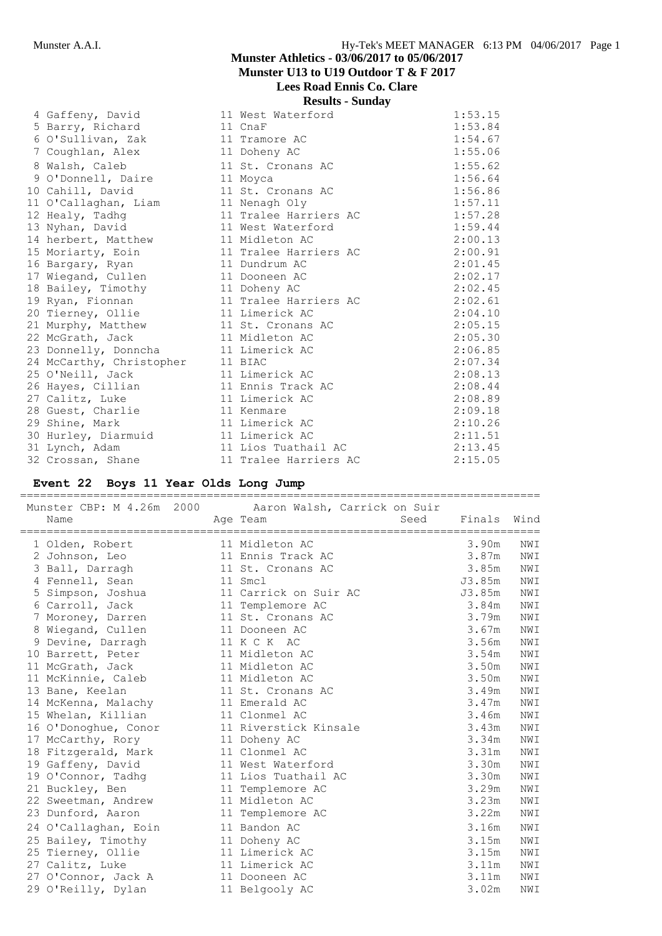**Lees Road Ennis Co. Clare**

# **Results - Sunday**

|                          | Results - Bulluay     |         |
|--------------------------|-----------------------|---------|
| 4 Gaffeny, David         | 11 West Waterford     | 1:53.15 |
| 5 Barry, Richard         | 11 CnaF               | 1:53.84 |
| 6 O'Sullivan, Zak        | 11 Tramore AC         | 1:54.67 |
| 7 Coughlan, Alex         | 11 Doheny AC          | 1:55.06 |
| 8 Walsh, Caleb           | 11 St. Cronans AC     | 1:55.62 |
| 9 O'Donnell, Daire       | 11 Moyca              | 1:56.64 |
| 10 Cahill, David         | 11 St. Cronans AC     | 1:56.86 |
| 11 O'Callaghan, Liam     | 11 Nenagh Oly         | 1:57.11 |
| 12 Healy, Tadhq          | 11 Tralee Harriers AC | 1:57.28 |
| 13 Nyhan, David          | 11 West Waterford     | 1:59.44 |
| 14 herbert, Matthew      | 11 Midleton AC        | 2:00.13 |
| 15 Moriarty, Eoin        | 11 Tralee Harriers AC | 2:00.91 |
| 16 Bargary, Ryan         | 11 Dundrum AC         | 2:01.45 |
| 17 Wiegand, Cullen       | 11 Dooneen AC         | 2:02.17 |
| 18 Bailey, Timothy       | 11 Doheny AC          | 2:02.45 |
| 19 Ryan, Fionnan         | 11 Tralee Harriers AC | 2:02.61 |
| 20 Tierney, Ollie        | 11 Limerick AC        | 2:04.10 |
| 21 Murphy, Matthew       | 11 St. Cronans AC     | 2:05.15 |
| 22 McGrath, Jack         | 11 Midleton AC        | 2:05.30 |
| 23 Donnelly, Donncha     | 11 Limerick AC        | 2:06.85 |
| 24 McCarthy, Christopher | 11 BIAC               | 2:07.34 |
| 25 O'Neill, Jack         | 11 Limerick AC        | 2:08.13 |
| 26 Hayes, Cillian        | 11 Ennis Track AC     | 2:08.44 |
| 27 Calitz, Luke          | 11 Limerick AC        | 2:08.89 |
| 28 Guest, Charlie        | 11 Kenmare            | 2:09.18 |
| 29 Shine, Mark           | 11 Limerick AC        | 2:10.26 |
| 30 Hurley, Diarmuid      | 11 Limerick AC        | 2:11.51 |
| 31 Lynch, Adam           | 11 Lios Tuathail AC   | 2:13.45 |
| 32 Crossan, Shane        | 11 Tralee Harriers AC | 2:15.05 |

# **Event 22 Boys 11 Year Olds Long Jump**

| Munster CBP: M 4.26m 2000 | Aaron Walsh, Carrick on Suir |        |      |
|---------------------------|------------------------------|--------|------|
| Name                      | Seed<br>Age Team             | Finals | Wind |
| 1 Olden, Robert           | 11 Midleton AC               | 3.90m  | NWI  |
| 2 Johnson, Leo            | 11 Ennis Track AC            | 3.87m  | NWI  |
| 3 Ball, Darragh           | 11 St. Cronans AC            | 3.85m  | NWI  |
| 4 Fennell, Sean           | 11 Smcl                      | J3.85m | NWI  |
| 5 Simpson, Joshua         | 11 Carrick on Suir AC        | J3.85m | NWI  |
| 6 Carroll, Jack           | 11 Templemore AC             | 3.84m  | NWI  |
| 7 Moroney, Darren         | 11 St. Cronans AC            | 3.79m  | NWI  |
| 8 Wiegand, Cullen         | 11 Dooneen AC                | 3.67m  | NWI  |
| 9 Devine, Darragh         | 11 K C K AC                  | 3.56m  | NWI  |
| 10 Barrett, Peter         | 11 Midleton AC               | 3.54m  | NWI  |
| 11 McGrath, Jack          | 11 Midleton AC               | 3.50m  | NWI  |
| 11 McKinnie, Caleb        | 11 Midleton AC               | 3.50m  | NWI  |
| 13 Bane, Keelan           | 11 St. Cronans AC            | 3.49m  | NWI  |
| 14 McKenna, Malachy       | 11 Emerald AC                | 3.47m  | NWI  |
| 15 Whelan, Killian        | 11 Clonmel AC                | 3.46m  | NWI  |
| 16 O'Donoghue, Conor      | 11 Riverstick Kinsale        | 3.43m  | NWI  |
| 17 McCarthy, Rory         | 11 Doheny AC                 | 3.34m  | NWI  |
| 18 Fitzgerald, Mark       | 11 Clonmel AC                | 3.31m  | NWI  |
| 19 Gaffeny, David         | 11 West Waterford            | 3.30m  | NWI  |
| 19 O'Connor, Tadhg        | 11 Lios Tuathail AC          | 3.30m  | NWI  |
| 21 Buckley, Ben           | 11 Templemore AC             | 3.29m  | NWI  |
| 22 Sweetman, Andrew       | 11 Midleton AC               | 3.23m  | NWI  |
| 23 Dunford, Aaron         | 11 Templemore AC             | 3.22m  | NWI  |
| 24 O'Callaghan, Eoin      | 11 Bandon AC                 | 3.16m  | NWI  |
| 25 Bailey, Timothy        | 11 Doheny AC                 | 3.15m  | NWI  |
| 25 Tierney, Ollie         | 11 Limerick AC               | 3.15m  | NWI  |
| 27 Calitz, Luke           | 11 Limerick AC               | 3.11m  | NWI  |
| 27 O'Connor, Jack A       | 11 Dooneen AC                | 3.11m  | NWI  |
| 29 O'Reilly, Dylan        | 11 Belgooly AC               | 3.02m  | NWI  |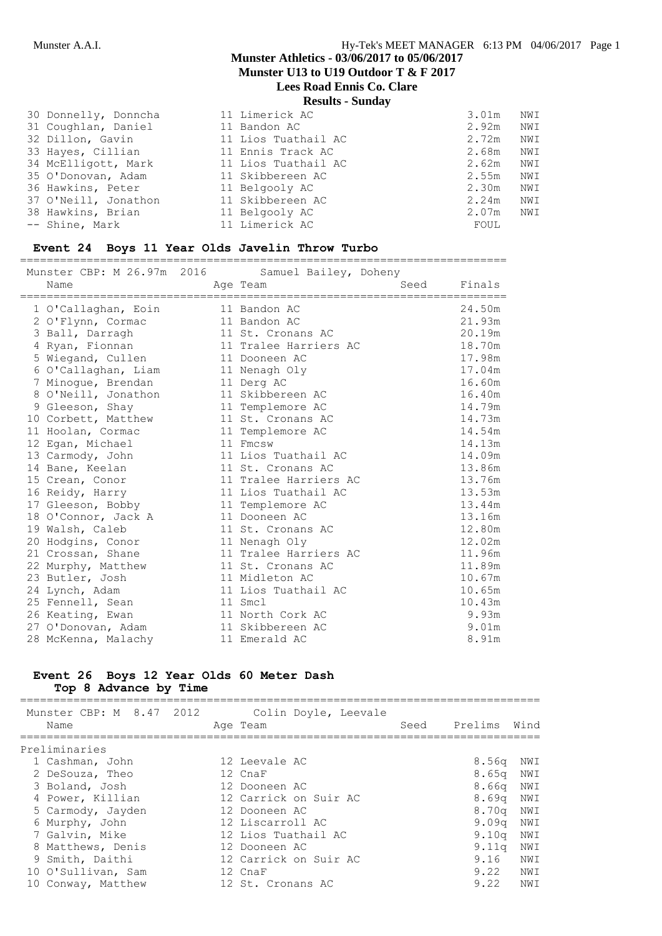**Lees Road Ennis Co. Clare**

**Results - Sunday**

| 30 Donnelly, Donncha | 11 Limerick AC      | 3.01m | NWI |
|----------------------|---------------------|-------|-----|
| 31 Coughlan, Daniel  | 11 Bandon AC        | 2.92m | NWI |
| 32 Dillon, Gavin     | 11 Lios Tuathail AC | 2.72m | NWI |
| 33 Hayes, Cillian    | 11 Ennis Track AC   | 2.68m | NWI |
| 34 McElligott, Mark  | 11 Lios Tuathail AC | 2.62m | NWI |
| 35 O'Donovan, Adam   | 11 Skibbereen AC    | 2.55m | NWI |
| 36 Hawkins, Peter    | 11 Belgooly AC      | 2.30m | NWI |
| 37 O'Neill, Jonathon | 11 Skibbereen AC    | 2.24m | NWI |
| 38 Hawkins, Brian    | 11 Belgooly AC      | 2.07m | NWI |
| -- Shine, Mark       | 11 Limerick AC      | FOUL  |     |

#### **Event 24 Boys 11 Year Olds Javelin Throw Turbo**

=========================================================================

| Munster CBP: M 26.97m 2016 | Samuel Bailey, Doheny |      |        |
|----------------------------|-----------------------|------|--------|
| Name                       | Age Team              | Seed | Finals |
|                            |                       |      |        |
| 1 O'Callaghan, Eoin        | 11 Bandon AC          |      | 24.50m |
| 2 O'Flynn, Cormac          | 11 Bandon AC          |      | 21.93m |
| 3 Ball, Darragh            | 11 St. Cronans AC     |      | 20.19m |
| 4 Ryan, Fionnan            | 11 Tralee Harriers AC |      | 18.70m |
| 5 Wiegand, Cullen          | 11 Dooneen AC         |      | 17.98m |
| 6 O'Callaghan, Liam        | 11 Nenagh Oly         |      | 17.04m |
| 7 Minogue, Brendan         | 11 Derg AC            |      | 16.60m |
| 8 O'Neill, Jonathon        | 11 Skibbereen AC      |      | 16.40m |
| 9 Gleeson, Shay            | 11 Templemore AC      |      | 14.79m |
| 10 Corbett, Matthew        | 11 St. Cronans AC     |      | 14.73m |
| 11 Hoolan, Cormac          | 11 Templemore AC      |      | 14.54m |
| 12 Egan, Michael           | 11 Fmcsw              |      | 14.13m |
| 13 Carmody, John           | 11 Lios Tuathail AC   |      | 14.09m |
| 14 Bane, Keelan            | 11 St. Cronans AC     |      | 13.86m |
| 15 Crean, Conor            | 11 Tralee Harriers AC |      | 13.76m |
| 16 Reidy, Harry            | 11 Lios Tuathail AC   |      | 13.53m |
| 17 Gleeson, Bobby          | 11 Templemore AC      |      | 13.44m |
| 18 O'Connor, Jack A        | 11 Dooneen AC         |      | 13.16m |
| 19 Walsh, Caleb            | 11 St. Cronans AC     |      | 12.80m |
| 20 Hodgins, Conor          | 11 Nenagh Oly         |      | 12.02m |
| 21 Crossan, Shane          | 11 Tralee Harriers AC |      | 11.96m |
| 22 Murphy, Matthew         | 11 St. Cronans AC     |      | 11.89m |
| 23 Butler, Josh            | 11 Midleton AC        |      | 10.67m |
| 24 Lynch, Adam             | 11 Lios Tuathail AC   |      | 10.65m |
| 25 Fennell, Sean           | 11 Smcl               |      | 10.43m |
| 26 Keating, Ewan           | 11 North Cork AC      |      | 9.93m  |
| 27 O'Donovan, Adam         | 11 Skibbereen AC      |      | 9.01m  |
| 28 McKenna, Malachy        | 11 Emerald AC         |      | 8.91m  |

#### **Event 26 Boys 12 Year Olds 60 Meter Dash Top 8 Advance by Time**

| Munster CBP: M 8.47 2012<br>Name | Colin Doyle, Leevale<br>Age Team | Seed | Prelims           | Wind |
|----------------------------------|----------------------------------|------|-------------------|------|
| Preliminaries                    |                                  |      |                   |      |
| 1 Cashman, John                  | 12 Leevale AC                    |      | 8.56a             | NWI  |
| 2 DeSouza, Theo                  | 12 CnaF                          |      | 8.65 <sub>q</sub> | NWI  |
| 3 Boland, Josh                   | 12 Dooneen AC                    |      | 8.66q             | NWI  |
| 4 Power, Killian                 | 12 Carrick on Suir AC            |      | 8.69 <sub>q</sub> | NWI  |
| 5 Carmody, Jayden                | 12 Dooneen AC                    |      | 8.70a             | NWI  |
| 6 Murphy, John                   | 12 Liscarroll AC                 |      | 9.09 <sub>q</sub> | NWI  |
| 7 Galvin, Mike                   | 12 Lios Tuathail AC              |      | 9.10 <sub>q</sub> | NWI  |
| 8 Matthews, Denis                | 12 Dooneen AC                    |      | $9.11\sigma$      | NWI  |
| 9 Smith, Daithi                  | 12 Carrick on Suir AC            |      | 9.16              | NWI  |
| 10 O'Sullivan, Sam               | 12 CnaF                          |      | 9.22              | NWI  |
| 10 Conway, Matthew               | 12 St. Cronans AC                |      | 9.22              | NWI  |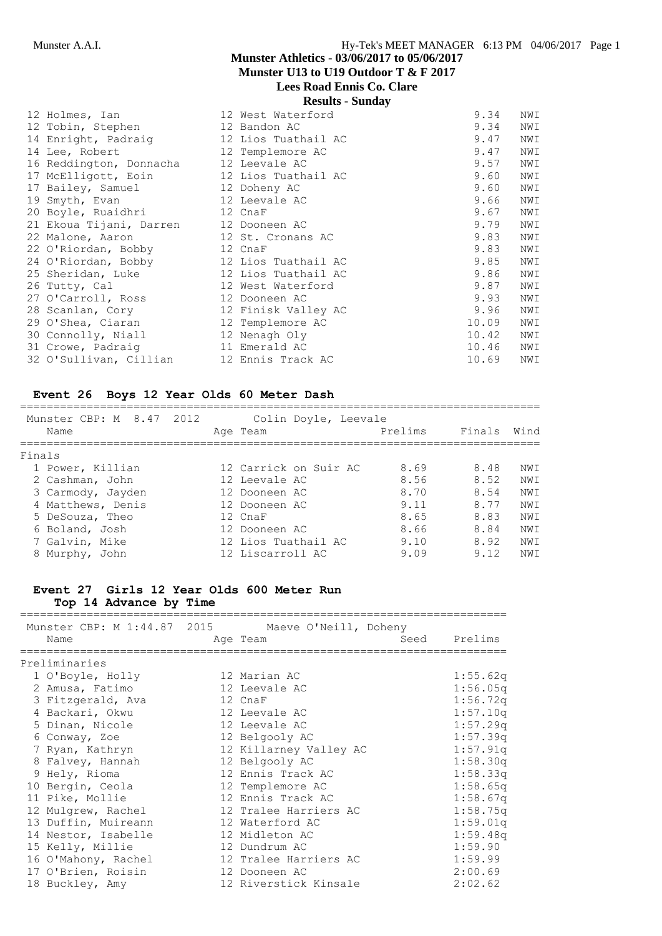**Lees Road Ennis Co. Clare**

**Results - Sunday**

| 12 Holmes, Ian          | 12 West Waterford   | 9.34  | NWI |
|-------------------------|---------------------|-------|-----|
| 12 Tobin, Stephen       | 12 Bandon AC        | 9.34  | NWI |
| 14 Enright, Padraig     | 12 Lios Tuathail AC | 9.47  | NWI |
| 14 Lee, Robert          | 12 Templemore AC    | 9.47  | NWI |
| 16 Reddington, Donnacha | 12 Leevale AC       | 9.57  | NWI |
| 17 McElligott, Eoin     | 12 Lios Tuathail AC | 9.60  | NWI |
| 17 Bailey, Samuel       | 12 Doheny AC        | 9.60  | NWI |
| 19 Smyth, Evan          | 12 Leevale AC       | 9.66  | NWI |
| 20 Boyle, Ruaidhri      | 12 CnaF             | 9.67  | NWI |
| 21 Ekoua Tijani, Darren | 12 Dooneen AC       | 9.79  | NWI |
| 22 Malone, Aaron        | 12 St. Cronans AC   | 9.83  | NWI |
| 22 O'Riordan, Bobby     | 12 CnaF             | 9.83  | NWI |
| 24 O'Riordan, Bobby     | 12 Lios Tuathail AC | 9.85  | NWI |
| 25 Sheridan, Luke       | 12 Lios Tuathail AC | 9.86  | NWI |
| 26 Tutty, Cal           | 12 West Waterford   | 9.87  | NWI |
| 27 O'Carroll, Ross      | 12 Dooneen AC       | 9.93  | NWI |
| 28 Scanlan, Cory        | 12 Finisk Valley AC | 9.96  | NWI |
| 29 O'Shea, Ciaran       | 12 Templemore AC    | 10.09 | NWI |
| 30 Connolly, Niall      | 12 Nenagh Oly       | 10.42 | NWI |
| 31 Crowe, Padraig       | 11 Emerald AC       | 10.46 | NWI |
| 32 O'Sullivan, Cillian  | 12 Ennis Track AC   | 10.69 | NWI |

#### **Event 26 Boys 12 Year Olds 60 Meter Dash**

| Name   | Munster CBP: M 8.47 | 2012 | Colin Doyle, Leevale<br>Age Team | Prelims | Finals | Wind |
|--------|---------------------|------|----------------------------------|---------|--------|------|
| Finals |                     |      |                                  |         |        |      |
|        | 1 Power, Killian    |      | 12 Carrick on Suir AC            | 8.69    | 8.48   | NW T |
|        | 2 Cashman, John     |      | 12 Leevale AC                    | 8.56    | 8.52   | NWI  |
|        | 3 Carmody, Jayden   |      | 12 Dooneen AC                    | 8.70    | 8.54   | NW T |
|        | 4 Matthews, Denis   |      | 12 Dooneen AC                    | 9 1 1   | 8 77   | NW T |
|        | 5 DeSouza, Theo     |      | 12 CnaF                          | 8.65    | 8.83   | NWI  |
|        | 6 Boland, Josh      |      | 12 Dooneen AC                    | 8.66    | 8.84   | NWI  |
|        | 7 Galvin, Mike      |      | 12 Lios Tuathail AC              | 9.10    | 8.92   | NW T |
|        | 8 Murphy, John      |      | 12 Liscarroll AC                 | 9.09    | 9.12   | NW T |

#### **Event 27 Girls 12 Year Olds 600 Meter Run Top 14 Advance by Time**

========================================================================= Munster CBP: M 1:44.87 2015 Maeve O'Neill, Doheny Name **Age Team** Age Team Seed Prelims ========================================================================= Preliminaries 1 O'Boyle, Holly 12 Marian AC 1:55.62q 2 Amusa, Fatimo 12 Leevale AC 1:56.05q 3 Fitzgerald, Ava 12 CnaF 1:56.72q 4 Backari, Okwu 12 Leevale AC 1:57.10q 5 Dinan, Nicole 12 Leevale AC 1:57.29q 6 Conway, Zoe 12 Belgooly AC 1:57.39q 7 Ryan, Kathryn 12 Killarney Valley AC 1:57.91q 8 Falvey, Hannah 12 Belgooly AC 1:58.30q 9 Hely, Rioma 12 Ennis Track AC 1:58.33q 10 Bergin, Ceola 12 Templemore AC 1:58.65q 11 Pike, Mollie 12 Ennis Track AC 1:58.67q 12 Mulgrew, Rachel 12 Tralee Harriers AC 1:58.75q 13 Duffin, Muireann 12 Waterford AC 1:59.01q 14 Nestor, Isabelle 12 Midleton AC 1:59.48q 15 Kelly, Millie 12 Dundrum AC 1:59.90 16 O'Mahony, Rachel 12 Tralee Harriers AC 1:59.99 17 O'Brien, Roisin 12 Dooneen AC 2:00.69 18 Buckley, Amy 12 Riverstick Kinsale 2:02.62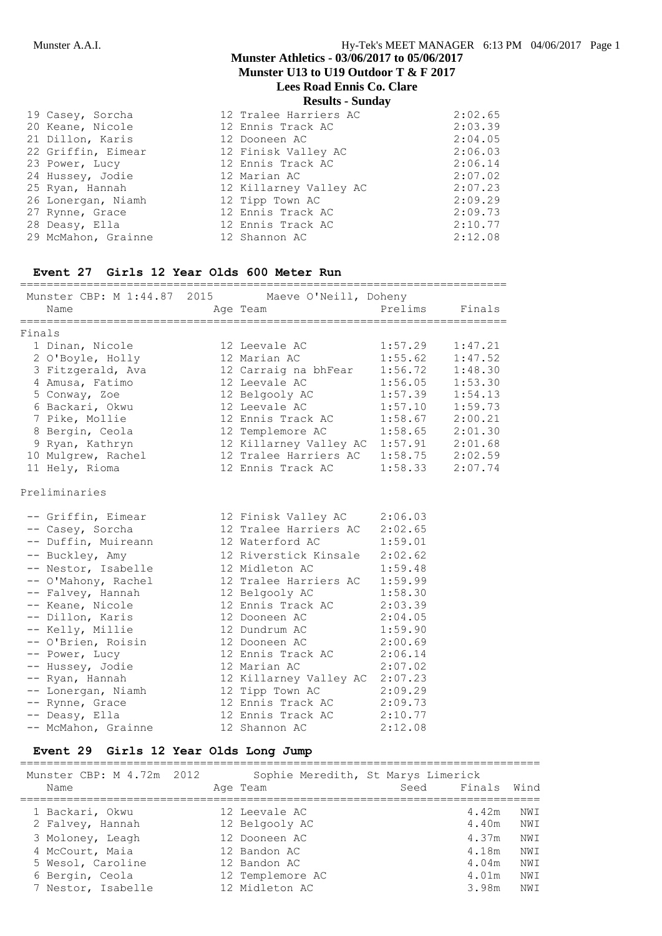**Lees Road Ennis Co. Clare**

**Results - Sunday**

|                     | <b>INDUITO DUMUS</b>   |         |
|---------------------|------------------------|---------|
| 19 Casey, Sorcha    | 12 Tralee Harriers AC  | 2:02.65 |
| 20 Keane, Nicole    | 12 Ennis Track AC      | 2:03.39 |
| 21 Dillon, Karis    | 12 Dooneen AC          | 2:04.05 |
| 22 Griffin, Eimear  | 12 Finisk Valley AC    | 2:06.03 |
| 23 Power, Lucy      | 12 Ennis Track AC      | 2:06.14 |
| 24 Hussey, Jodie    | 12 Marian AC           | 2:07.02 |
| 25 Ryan, Hannah     | 12 Killarney Valley AC | 2:07.23 |
| 26 Lonergan, Niamh  | 12 Tipp Town AC        | 2:09.29 |
| 27 Rynne, Grace     | 12 Ennis Track AC      | 2:09.73 |
| 28 Deasy, Ella      | 12 Ennis Track AC      | 2:10.77 |
| 29 McMahon, Grainne | 12 Shannon AC          | 2:12.08 |

#### **Event 27 Girls 12 Year Olds 600 Meter Run**

| Munster CBP: M 1:44.87 2015 Maeve O'Neill, Doheny<br>Name | Age Team                                                                  |         | Prelims Finals      |
|-----------------------------------------------------------|---------------------------------------------------------------------------|---------|---------------------|
| Finals                                                    |                                                                           |         |                     |
| 1 Dinan, Nicole                                           | 12 Leevale AC                                                             | 1:57.29 | 1:47.21             |
| 2 O'Boyle, Holly                                          | 12 Marian AC                                                              | 1:55.62 | 1:47.52             |
| 3 Fitzgerald, Ava                                         | 12 Carraig na bhFear                                                      | 1:56.72 | 1:48.30             |
| 4 Amusa, Fatimo                                           | 12 Leevale AC                                                             | 1:56.05 | 1:53.30             |
| 5 Conway, Zoe                                             | 12 Belgooly AC                                                            | 1:57.39 | 1:54.13             |
| 6 Backari, Okwu                                           | 12 Leevale AC                                                             | 1:57.10 | 1:59.73             |
| 7 Pike, Mollie                                            | 12 Ennis Track AC                                                         | 1:58.67 | 2:00.21             |
| 8 Bergin, Ceola                                           | 12 Templemore AC                                                          |         | $1:58.65$ $2:01.30$ |
| 9 Ryan, Kathryn                                           | 12 Templemole AC 1.9.09 2.01.50<br>12 Killarney Valley AC 1:57.91 2:01.68 |         |                     |
| 10 Mulgrew, Rachel                                        | 12 Tralee Harriers AC 1:58.75 2:02.59                                     |         |                     |
| 11 Hely, Rioma                                            | 12 Ennis Track AC                                                         |         | $1:58.33$ $2:07.74$ |
| Preliminaries                                             |                                                                           |         |                     |
| -- Griffin, Eimear                                        | 12 Finisk Valley AC 2:06.03                                               |         |                     |
| -- Casey, Sorcha                                          | 12 Tralee Harriers AC                                                     | 2:02.65 |                     |
| -- Duffin, Muireann                                       | 12 Waterford AC                                                           | 1:59.01 |                     |
| -- Buckley, Amy                                           | 12 Riverstick Kinsale                                                     | 2:02.62 |                     |
| -- Nestor, Isabelle                                       | 12 Midleton AC                                                            | 1:59.48 |                     |
| -- O'Mahony, Rachel                                       | 12 Tralee Harriers AC 1:59.99                                             |         |                     |
| -- Falvey, Hannah                                         | 12 Belgooly AC                                                            | 1:58.30 |                     |
| -- Keane, Nicole                                          | 12 Ennis Track AC 2:03.39                                                 |         |                     |
| -- Dillon, Karis                                          | 12 Dooneen AC 2:04.05                                                     |         |                     |
| -- Kelly, Millie                                          | 12 Dundrum AC 1:59.90                                                     |         |                     |
| -- O'Brien, Roisin                                        | 12 Dooneen AC 2:00.69                                                     |         |                     |
| -- Power, Lucy                                            | 12 Ennis Track AC 2:06.14                                                 |         |                     |
| -- Hussey, Jodie                                          | 12 Marian AC 2:07.02                                                      |         |                     |
| -- Ryan, Hannah                                           | 12 Killarney Valley AC 2:07.23                                            |         |                     |
| -- Lonergan, Niamh                                        | 12 Tipp Town AC 2:09.29                                                   |         |                     |
| -- Rynne, Grace                                           | 12 Ennis Track AC 2:09.73                                                 |         |                     |
| -- Deasy, Ella                                            | 12 Ennis Track AC 2:10.77                                                 |         |                     |
| -- McMahon, Grainne                                       | 12 Shannon AC                                                             | 2:12.08 |                     |

#### **Event 29 Girls 12 Year Olds Long Jump**

|                                     | -                                              |      |                |            |
|-------------------------------------|------------------------------------------------|------|----------------|------------|
| Munster CBP: M 4.72m 2012<br>Name   | Sophie Meredith, St Marys Limerick<br>Age Team | Seed | Finals         | Wind       |
| 1 Backari, Okwu<br>2 Falvey, Hannah | 12 Leevale AC<br>12 Belgooly AC                |      | 4.42m<br>4.40m | NWI<br>NWI |
| 3 Moloney, Leagh                    | 12 Dooneen AC                                  |      | 4.37m          | NWI        |
| 4 McCourt, Maia                     | 12 Bandon AC                                   |      | 4.18m          | NWI        |
| 5 Wesol, Caroline                   | 12 Bandon AC                                   |      | 4.04m          | NWI        |
| 6 Bergin, Ceola                     | 12 Templemore AC                               |      | 4.01m          | NWI        |
| 7 Nestor, Isabelle                  | 12 Midleton AC                                 |      | 3.98m          | NWI        |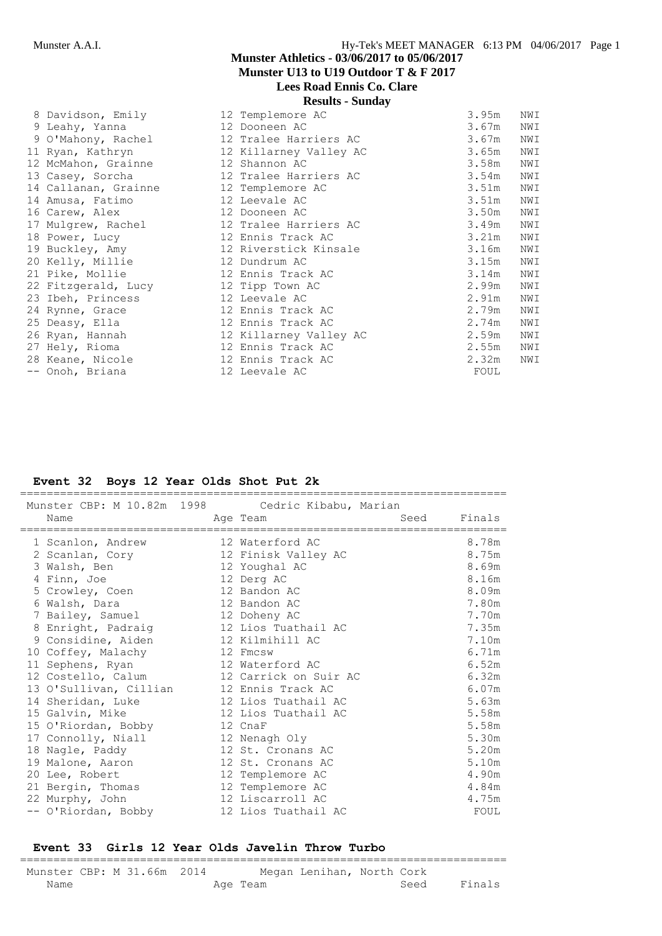| 8 Davidson, Emily    | 12 Templemore AC       | 3.95m | NWI |
|----------------------|------------------------|-------|-----|
| 9 Leahy, Yanna       | 12 Dooneen AC          | 3.67m | NWI |
| 9 O'Mahony, Rachel   | 12 Tralee Harriers AC  | 3.67m | NWI |
| 11 Ryan, Kathryn     | 12 Killarney Valley AC | 3.65m | NWI |
| 12 McMahon, Grainne  | 12 Shannon AC          | 3.58m | NWI |
| 13 Casey, Sorcha     | 12 Tralee Harriers AC  | 3.54m | NWI |
| 14 Callanan, Grainne | 12 Templemore AC       | 3.51m | NWI |
| 14 Amusa, Fatimo     | 12 Leevale AC          | 3.51m | NWI |
| 16 Carew, Alex       | 12 Dooneen AC          | 3.50m | NWI |
| 17 Mulgrew, Rachel   | 12 Tralee Harriers AC  | 3.49m | NWI |
| 18 Power, Lucy       | 12 Ennis Track AC      | 3.21m | NWI |
| 19 Buckley, Amy      | 12 Riverstick Kinsale  | 3.16m | NWI |
| 20 Kelly, Millie     | 12 Dundrum AC          | 3.15m | NWI |
| 21 Pike, Mollie      | 12 Ennis Track AC      | 3.14m | NWI |
| 22 Fitzgerald, Lucy  | 12 Tipp Town AC        | 2.99m | NWI |
| 23 Ibeh, Princess    | 12 Leevale AC          | 2.91m | NWI |
| 24 Rynne, Grace      | 12 Ennis Track AC      | 2.79m | NWI |
| 25 Deasy, Ella       | 12 Ennis Track AC      | 2.74m | NWI |
| 26 Ryan, Hannah      | 12 Killarney Valley AC | 2.59m | NWI |
| 27 Hely, Rioma       | 12 Ennis Track AC      | 2.55m | NWI |
| 28 Keane, Nicole     | 12 Ennis Track AC      | 2.32m | NWI |
| -- Onoh, Briana      | 12 Leevale AC          | FOUL  |     |

#### **Event 32 Boys 12 Year Olds Shot Put 2k**

| Munster CBP: M 10.82m 1998 | Cedric Kibabu, Marian |      |        |
|----------------------------|-----------------------|------|--------|
| Name                       | Age Team              | Seed | Finals |
| 1 Scanlon, Andrew          | 12 Waterford AC       |      | 8.78m  |
| 2 Scanlan, Cory            | 12 Finisk Valley AC   |      | 8.75m  |
| 3 Walsh, Ben               | 12 Youghal AC         |      | 8.69m  |
| 4 Finn, Joe                | 12 Derg AC            |      | 8.16m  |
| 5 Crowley, Coen            | 12 Bandon AC          |      | 8.09m  |
| 6 Walsh, Dara              | 12 Bandon AC          |      | 7.80m  |
| 7 Bailey, Samuel           | 12 Doheny AC          |      | 7.70m  |
| 8 Enright, Padraig         | 12 Lios Tuathail AC   |      | 7.35m  |
| 9 Considine, Aiden         | 12 Kilmihill AC       |      | 7.10m  |
| 10 Coffey, Malachy         | 12 Fmcsw              |      | 6.71m  |
| 11 Sephens, Ryan           | 12 Waterford AC       |      | 6.52m  |
| 12 Costello, Calum         | 12 Carrick on Suir AC |      | 6.32m  |
| 13 O'Sullivan, Cillian     | 12 Ennis Track AC     |      | 6.07m  |
| 14 Sheridan, Luke          | 12 Lios Tuathail AC   |      | 5.63m  |
| 15 Galvin, Mike            | 12 Lios Tuathail AC   |      | 5.58m  |
| 15 O'Riordan, Bobby        | 12 CnaF               |      | 5.58m  |
| 17 Connolly, Niall         | 12 Nenagh Oly         |      | 5.30m  |
| 18 Nagle, Paddy            | 12 St. Cronans AC     |      | 5.20m  |
| 19 Malone, Aaron           | 12 St. Cronans AC     |      | 5.10m  |
| 20 Lee, Robert             | 12 Templemore AC      |      | 4.90m  |
| 21 Bergin, Thomas          | 12 Templemore AC      |      | 4.84m  |
| 22 Murphy, John            | 12 Liscarroll AC      |      | 4.75m  |
| -- O'Riordan, Bobby        | 12 Lios Tuathail AC   |      | FOUL   |

#### **Event 33 Girls 12 Year Olds Javelin Throw Turbo**

| Munster CBP: M 31.66m 2014 |  |  |          | Megan Lenihan, North Cork |      |        |
|----------------------------|--|--|----------|---------------------------|------|--------|
| Name                       |  |  | Age Team |                           | Seed | Finals |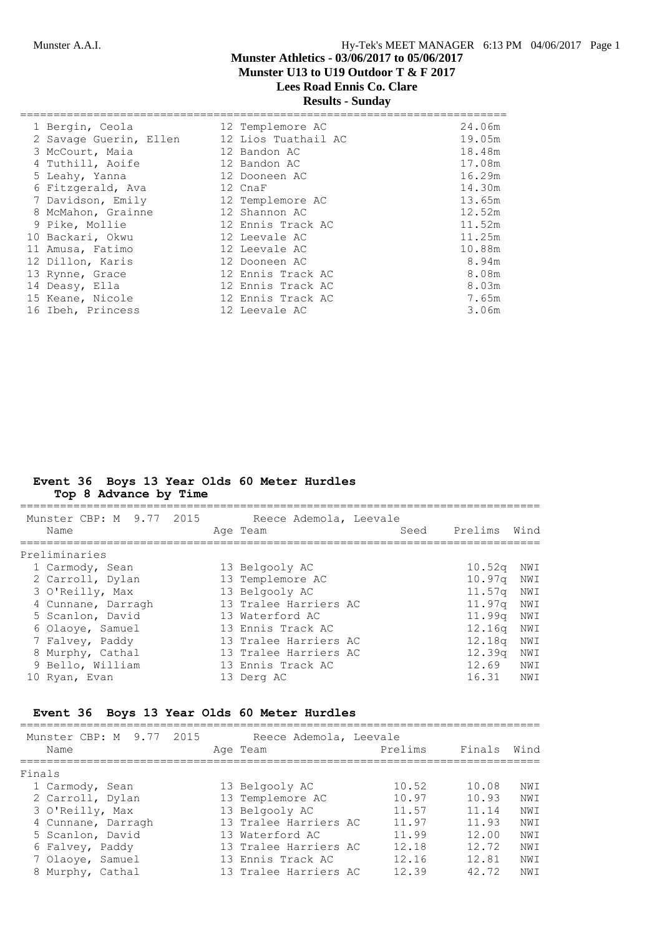# **Results - Sunday**

| 1 Bergin, Ceola        | 12 Templemore AC    | 24.06m |
|------------------------|---------------------|--------|
| 2 Savage Guerin, Ellen | 12 Lios Tuathail AC | 19.05m |
| 3 McCourt, Maia        | 12 Bandon AC        | 18.48m |
| 4 Tuthill, Aoife       | 12 Bandon AC        | 17.08m |
| 5 Leahy, Yanna         | 12 Dooneen AC       | 16.29m |
| 6 Fitzgerald, Ava      | 12 CnaF             | 14.30m |
| 7 Davidson, Emily      | 12 Templemore AC    | 13.65m |
| 8 McMahon, Grainne     | 12 Shannon AC       | 12.52m |
| 9 Pike, Mollie         | 12 Ennis Track AC   | 11.52m |
| 10 Backari, Okwu       | 12 Leevale AC       | 11.25m |
| 11 Amusa, Fatimo       | 12 Leevale AC       | 10.88m |
| 12 Dillon, Karis       | 12 Dooneen AC       | 8.94m  |
| 13 Rynne, Grace        | 12 Ennis Track AC   | 8.08m  |
| 14 Deasy, Ella         | 12 Ennis Track AC   | 8.03m  |
| 15 Keane, Nicole       | 12 Ennis Track AC   | 7.65m  |
| 16 Ibeh, Princess      | 12 Leevale AC       | 3.06m  |
|                        |                     |        |

#### **Event 36 Boys 13 Year Olds 60 Meter Hurdles Top 8 Advance by Time**

| Munster CBP: M 9.77 2015<br>Name | Reece Ademola, Leevale<br>Age Team | Seed | Prelims            | Wind |
|----------------------------------|------------------------------------|------|--------------------|------|
| Preliminaries                    |                                    |      |                    |      |
| 1 Carmody, Sean                  | 13 Belgooly AC                     |      | $10.52\sigma$      | NWI  |
| 2 Carroll, Dylan                 | 13 Templemore AC                   |      | 10.97q             | NWI  |
| 3 O'Reilly, Max                  | 13 Belgooly AC                     |      | 11.57 <sub>q</sub> | NWI  |
| 4 Cunnane, Darragh               | 13 Tralee Harriers AC              |      | 11.97 <sub>q</sub> | NWI  |
| 5 Scanlon, David                 | 13 Waterford AC                    |      | 11,99g             | NWI  |
| 6 Olaoye, Samuel                 | 13 Ennis Track AC                  |      | 12.16q             | NWI  |
| 7 Falvey, Paddy                  | 13 Tralee Harriers AC              |      | 12.18g             | NWI  |
| 8 Murphy, Cathal                 | 13 Tralee Harriers AC              |      | 12.39q             | NWI  |
| 9 Bello, William                 | 13 Ennis Track AC                  |      | 12.69              | NWI  |
| 10 Ryan, Evan                    | 13 Derg AC                         |      | 16.31              | NWI  |

## **Event 36 Boys 13 Year Olds 60 Meter Hurdles**

| Munster CBP: M 9.77<br>2015<br>Name | Reece Ademola, Leevale<br>Age Team | Prelims | Finals | Wind |
|-------------------------------------|------------------------------------|---------|--------|------|
| Finals                              |                                    |         |        |      |
| 1 Carmody, Sean                     | 13 Belgooly AC                     | 10.52   | 10.08  | NWI  |
| 2 Carroll, Dylan                    | 13 Templemore AC                   | 10.97   | 10.93  | NWI  |
| 3 O'Reilly, Max                     | 13 Belgooly AC                     | 11.57   | 11.14  | NW T |
| 4 Cunnane, Darragh                  | 13 Tralee Harriers AC              | 11.97   | 11.93  | NW T |
| 5 Scanlon, David                    | 13 Waterford AC                    | 11.99   | 12.00  | NWI  |
| 6 Falvey, Paddy                     | 13 Tralee Harriers AC              | 12.18   | 12.72  | NWI  |
| 7 Olaoye, Samuel                    | 13 Ennis Track AC                  | 12 16   | 12.81  | NW T |
| 8 Murphy, Cathal                    | 13 Tralee Harriers AC              | 12.39   | 42.72  | NWI  |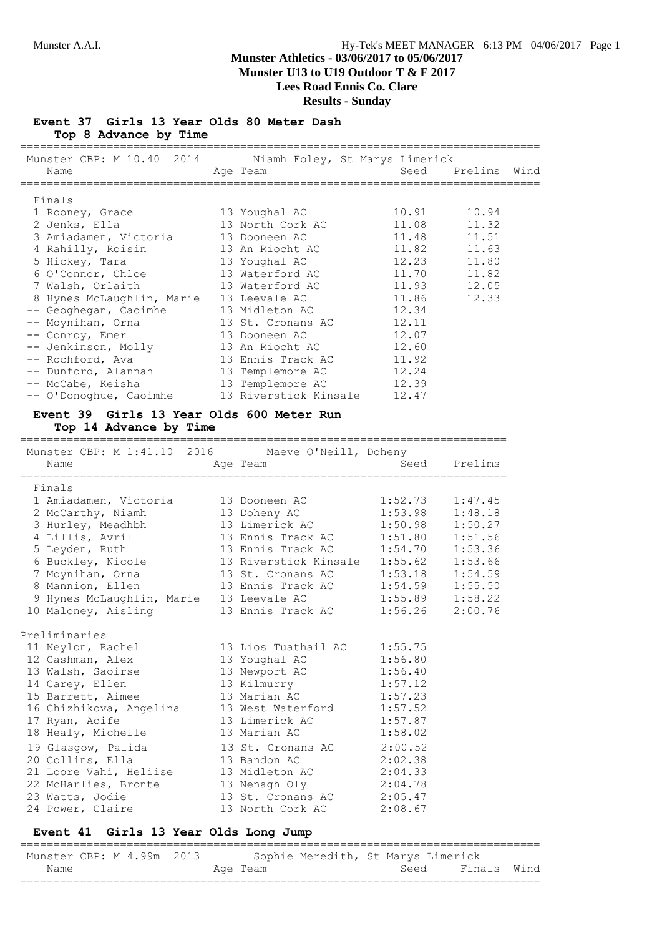#### **Event 37 Girls 13 Year Olds 80 Meter Dash Top 8 Advance by Time**

| Munster CBP: M 10.40 2014 Niamh Foley, St Marys Limerick<br>Name | Age Team                       |                     | Seed Prelims Wind |  |
|------------------------------------------------------------------|--------------------------------|---------------------|-------------------|--|
| Finals                                                           |                                |                     |                   |  |
|                                                                  |                                |                     |                   |  |
| 1 Rooney, Grace                                                  | 13 Youghal AC                  | 10.91               | 10.94             |  |
| 2 Jenks, Ella                                                    | 13 North Cork AC               | 11.08               | 11.32             |  |
| 3 Amiadamen, Victoria 13 Dooneen AC                              |                                | 11.48               | 11.51             |  |
| 4 Rahilly, Roisin                                                | 13 An Riocht AC                | 11.82               | 11.63             |  |
| 5 Hickey, Tara                                                   | 13 Youghal AC                  | 12.23               | 11.80             |  |
| 6 O'Connor, Chloe                                                | 13 Waterford AC                | 11.70               | 11.82             |  |
| 7 Walsh, Orlaith                                                 | 13 Waterford AC                | 11.93               | 12.05             |  |
| 8 Hynes McLaughlin, Marie 13 Leevale AC                          |                                | 11.86               | 12.33             |  |
| -- Geoghegan, Caoimhe                                            | 13 Midleton AC                 | 12.34               |                   |  |
| -- Moynihan, Orna                                                | 13 St. Cronans AC              | 12.11               |                   |  |
| -- Conroy, Emer                                                  | 13 Dooneen AC                  | 12.07               |                   |  |
|                                                                  | 13 An Riocht AC                | 12.60               |                   |  |
| -- Jenkinson, Molly<br>-- Rochford, Ava                          | 13 Ennis Track AC              | 11.92               |                   |  |
| -- Dunford, Alannah                                              | 13 Templemore AC               | 12.24               |                   |  |
| -- McCabe, Keisha                                                | 13 Templemore AC               | 12.39               |                   |  |
| -- O'Donoghue, Caoimhe 13 Riverstick Kinsale                     |                                | 12.47               |                   |  |
|                                                                  |                                |                     |                   |  |
| Event 39 Girls 13 Year Olds 600 Meter Run                        |                                |                     |                   |  |
| Top 14 Advance by Time                                           |                                |                     |                   |  |
|                                                                  |                                |                     |                   |  |
| Munster CBP: M 1:41.10 2016 Maeve O'Neill, Doheny                |                                |                     |                   |  |
| Name                                                             | Aqe Team                       | Seed                | Prelims           |  |
|                                                                  |                                |                     |                   |  |
| Finals                                                           |                                |                     |                   |  |
| 1 Amiadamen, Victoria                                            | 13 Dooneen AC                  | 1:52.73             | 1:47.45           |  |
|                                                                  |                                | 1:53.98             | 1:48.18           |  |
| 2 McCarthy, Niamh<br>3 Hurley, Meadhbh                           | 13 Doheny AC<br>13 Limerick AC | 1:50.98             | 1:50.27           |  |
| 4 Lillis, Avril                                                  | 13 Ennis Track AC              | 1:51.80             | 1:51.56           |  |
| 5 Leyden, Ruth                                                   | 13 Ennis Track AC              | 1:54.70             | 1:53.36           |  |
| 6 Buckley, Nicole 13 Riverstick Kinsale                          |                                | 1:55.62             | 1:53.66           |  |
| 7 Moynihan, Orna                                                 | 13 St. Cronans AC              | 1:53.18             | 1:54.59           |  |
| 8 Mannion, Ellen                                                 | 13 Ennis Track AC              | 1:54.59             | 1:55.50           |  |
| 9 Hynes McLaughlin, Marie 13 Leevale AC                          |                                | $1:55.89$ $1:58.22$ |                   |  |
| 10 Maloney, Aisling                                              | 13 Ennis Track AC              | 1:56.26             | 2:00.76           |  |
|                                                                  |                                |                     |                   |  |
| Preliminaries                                                    |                                |                     |                   |  |
|                                                                  |                                |                     |                   |  |
| 11 Neylon, Rachel                                                | 13 Lios Tuathail AC            | 1:55.75             |                   |  |
| 12 Cashman, Alex                                                 | 13 Youghal AC                  | 1:56.80             |                   |  |
| 13 Walsh, Saoirse                                                | 13 Newport AC                  | 1:56.40             |                   |  |
| 14 Carey, Ellen                                                  | 13 Kilmurry                    | 1:57.12             |                   |  |
| 15 Barrett, Aimee                                                | 13 Marian AC                   | 1:57.23             |                   |  |
| 16 Chizhikova, Angelina                                          | 13 West Waterford              | 1:57.52             |                   |  |
| 17 Ryan, Aoife                                                   | 13 Limerick AC                 | 1:57.87             |                   |  |
| 18 Healy, Michelle                                               | 13 Marian AC                   | 1:58.02             |                   |  |
| 19 Glasgow, Palida                                               | 13 St. Cronans AC              | 2:00.52             |                   |  |
| 20 Collins, Ella                                                 | 13 Bandon AC                   | 2:02.38             |                   |  |
| 21 Loore Vahi, Heliise                                           | 13 Midleton AC                 | 2:04.33             |                   |  |
| 22 McHarlies, Bronte                                             | 13 Nenagh Oly                  | 2:04.78             |                   |  |
| 23 Watts, Jodie                                                  | 13 St. Cronans AC              | 2:05.47             |                   |  |
| 24 Power, Claire                                                 | 13 North Cork AC               | 2:08.67             |                   |  |
|                                                                  |                                |                     |                   |  |

#### **Event 41 Girls 13 Year Olds Long Jump**

============================================================================== Munster CBP: M 4.99m 2013 Sophie Meredith, St Marys Limerick Name Manne Age Team Age Team Seed Finals Wind ==============================================================================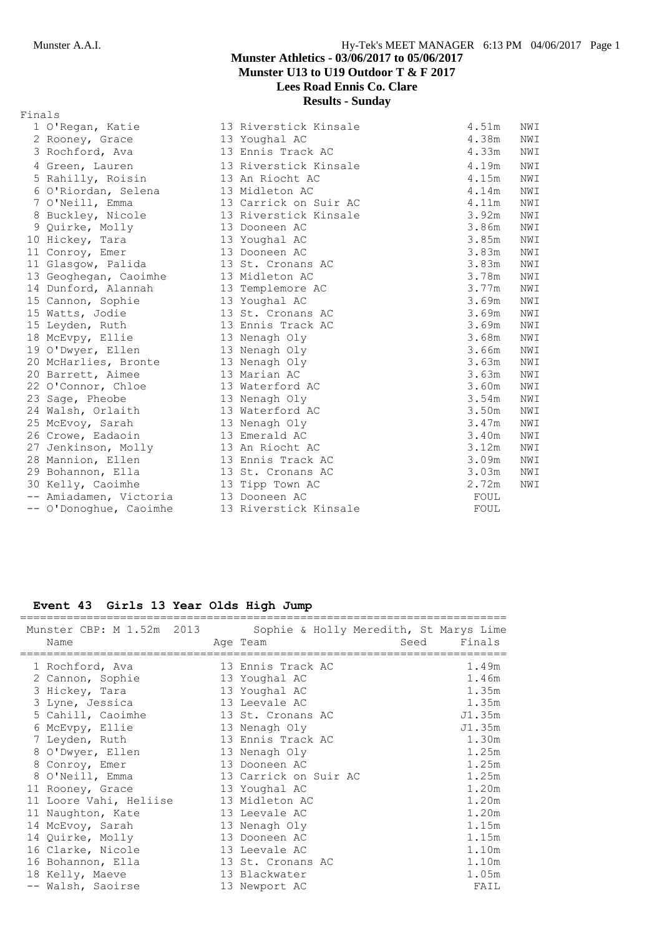| Finals |                                      |                       |       |     |
|--------|--------------------------------------|-----------------------|-------|-----|
|        | 1 O'Regan, Katie                     | 13 Riverstick Kinsale | 4.51m | NWI |
|        | 2 Rooney, Grace                      | 13 Youghal AC         | 4.38m | NWI |
|        | 3 Rochford, Ava                      | 13 Ennis Track AC     | 4.33m | NWI |
|        | 4 Green, Lauren                      | 13 Riverstick Kinsale | 4.19m | NWI |
|        | 5 Rahilly, Roisin                    | 13 An Riocht AC       | 4.15m | NWI |
|        | 6 O'Riordan, Selena                  | 13 Midleton AC        | 4.14m | NWI |
|        | 7 O'Neill, Emma                      | 13 Carrick on Suir AC | 4.11m | NWI |
|        | 8 Buckley, Nicole                    | 13 Riverstick Kinsale | 3.92m | NWI |
|        | 9 Quirke, Molly                      | 13 Dooneen AC         | 3.86m | NWI |
|        | 10 Hickey, Tara                      | 13 Youghal AC         | 3.85m | NWI |
|        | 11 Conroy, Emer                      | 13 Dooneen AC         | 3.83m | NWI |
|        | 11 Glasgow, Palida                   | 13 St. Cronans AC     | 3.83m | NWI |
|        | 13 Geoghegan, Caoimhe                | 13 Midleton AC        | 3.78m | NWI |
|        | 14 Dunford, Alannah                  | 13 Templemore AC      | 3.77m | NWI |
|        | 15 Cannon, Sophie                    | 13 Youghal AC         | 3.69m | NWI |
|        | 15 Watts, Jodie                      | 13 St. Cronans AC     | 3.69m | NWI |
|        | 15 Leyden, Ruth                      | 13 Ennis Track AC     | 3.69m | NWI |
|        | 18 McEvpy, Ellie                     | 13 Nenagh Oly         | 3.68m | NWI |
|        | 19 O'Dwyer, Ellen                    | 13 Nenagh Oly         | 3.66m | NWI |
|        | 20 McHarlies, Bronte                 | 13 Nenagh Oly         | 3.63m | NWI |
|        | 20 Barrett, Aimee                    | 13 Marian AC          | 3.63m | NWI |
|        | 22 O'Connor, Chloe                   | 13 Waterford AC       | 3.60m | NWI |
|        | 23 Sage, Pheobe                      | 13 Nenagh Oly         | 3.54m | NWI |
|        | 24 Walsh, Orlaith                    | 13 Waterford AC       | 3.50m | NWI |
|        | 25 McEvoy, Sarah                     | 13 Nenagh Oly         | 3.47m | NWI |
|        | 26 Crowe, Eadaoin                    | 13 Emerald AC         | 3.40m | NWI |
|        | 27 Jenkinson, Molly                  | 13 An Riocht AC       | 3.12m | NWI |
|        | 28 Mannion, Ellen                    | 13 Ennis Track AC     | 3.09m | NWI |
|        | 29 Bohannon, Ella                    | 13 St. Cronans AC     | 3.03m | NWI |
|        | 30 Kelly, Caoimhe                    | 13 Tipp Town AC       | 2.72m | NWI |
|        | -- Amiadamen, Victoria 13 Dooneen AC |                       | FOUL  |     |
|        | -- O'Donoghue, Caoimhe               | 13 Riverstick Kinsale | FOUL  |     |

## **Event 43 Girls 13 Year Olds High Jump**

| Munster CBP: M 1.52m 2013<br>Name                                                                                                                                                                                                                                                                      | Sophie & Holly Meredith, St Marys Lime<br>Age Team                                                                                                                                                                                             | Seed | Finals                                                                                                              |
|--------------------------------------------------------------------------------------------------------------------------------------------------------------------------------------------------------------------------------------------------------------------------------------------------------|------------------------------------------------------------------------------------------------------------------------------------------------------------------------------------------------------------------------------------------------|------|---------------------------------------------------------------------------------------------------------------------|
| .===================================<br>1 Rochford, Ava<br>2 Cannon, Sophie<br>3 Hickey, Tara<br>3 Lyne, Jessica<br>5 Cahill, Caoimhe<br>6 McEvpy, Ellie<br>7 Leyden, Ruth<br>8 O'Dwyer, Ellen<br>8 Conroy, Emer<br>8 O'Neill, Emma<br>11 Rooney, Grace<br>11 Loore Vahi, Heliise<br>11 Naughton, Kate | 13 Ennis Track AC<br>13 Youghal AC<br>13 Youghal AC<br>13 Leevale AC<br>13 St. Cronans AC<br>13 Nenagh Oly<br>13 Ennis Track AC<br>13 Nenagh Oly<br>13 Dooneen AC<br>13 Carrick on Suir AC<br>13 Youghal AC<br>13 Midleton AC<br>13 Leevale AC |      | 1.49m<br>1.46m<br>1.35m<br>1.35m<br>J1.35m<br>J1.35m<br>1.30m<br>1.25m<br>1.25m<br>1.25m<br>1.20m<br>1.20m<br>1.20m |
| 14 McEvoy, Sarah<br>14 Quirke, Molly<br>16 Clarke, Nicole<br>16 Bohannon, Ella                                                                                                                                                                                                                         | 13 Nenagh Oly<br>13 Dooneen AC<br>13 Leevale AC<br>13 St. Cronans AC                                                                                                                                                                           |      | 1.15m<br>1.15m<br>1.10m<br>1.10m                                                                                    |
| 18 Kelly, Maeve<br>-- Walsh, Saoirse                                                                                                                                                                                                                                                                   | 13 Blackwater<br>13 Newport AC                                                                                                                                                                                                                 |      | 1.05m<br>FAIL                                                                                                       |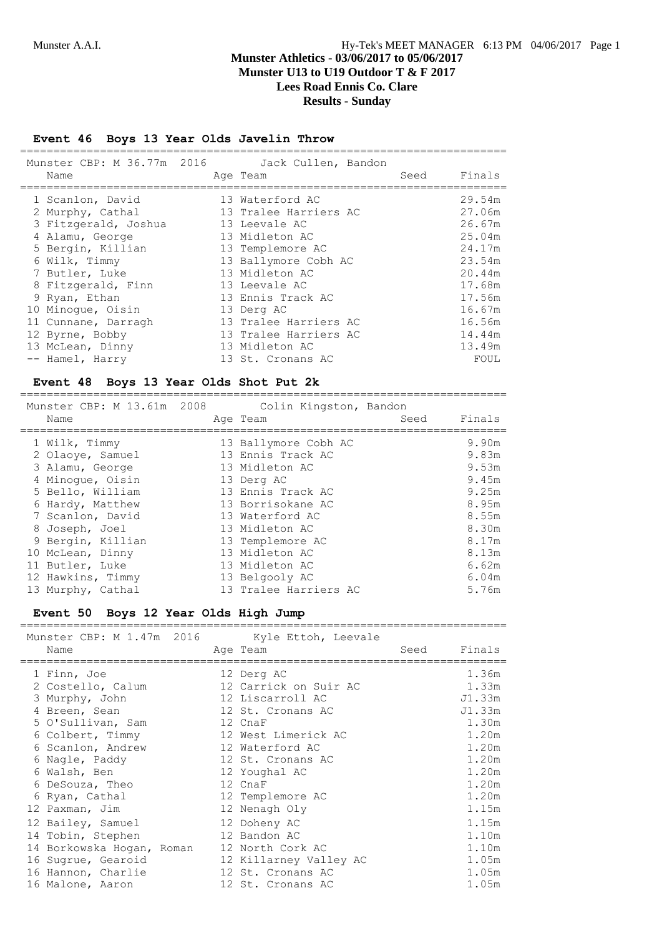#### **Event 46 Boys 13 Year Olds Javelin Throw**

| Munster CBP: M 36.77m 2016 Jack Cullen, Bandon<br>Name |  | Age Team              | Seed | Finals |
|--------------------------------------------------------|--|-----------------------|------|--------|
| 1 Scanlon, David                                       |  | 13 Waterford AC       |      | 29.54m |
| 2 Murphy, Cathal                                       |  | 13 Tralee Harriers AC |      | 27.06m |
| 3 Fitzgerald, Joshua                                   |  | 13 Leevale AC         |      | 26.67m |
| 4 Alamu, George                                        |  | 13 Midleton AC        |      | 25.04m |
| 5 Bergin, Killian                                      |  | 13 Templemore AC      |      | 24.17m |
| 6 Wilk, Timmy                                          |  | 13 Ballymore Cobh AC  |      | 23.54m |
| 7 Butler, Luke                                         |  | 13 Midleton AC        |      | 20.44m |
| 8 Fitzgerald, Finn                                     |  | 13 Leevale AC         |      | 17.68m |
| 9 Ryan, Ethan                                          |  | 13 Ennis Track AC     |      | 17.56m |
| 10 Minoque, Oisin                                      |  | 13 Derg AC            |      | 16.67m |
| 11 Cunnane, Darragh                                    |  | 13 Tralee Harriers AC |      | 16.56m |
| 12 Byrne, Bobby                                        |  | 13 Tralee Harriers AC |      | 14.44m |
| 13 McLean, Dinny                                       |  | 13 Midleton AC        |      | 13.49m |
| -- Hamel, Harry                                        |  | 13 St. Cronans AC     |      | FOUL   |

#### **Event 48 Boys 13 Year Olds Shot Put 2k**

| Munster CBP: M 13.61m 2008<br>Name | Colin Kingston, Bandon<br>Seed<br>Age Team | Finals         |
|------------------------------------|--------------------------------------------|----------------|
| 1 Wilk, Timmy<br>2 Olaoye, Samuel  | 13 Ballymore Cobh AC<br>13 Ennis Track AC  | 9.90m<br>9.83m |
| 3 Alamu, George                    | 13 Midleton AC                             | 9.53m          |
| 4 Minoque, Oisin                   | 13 Derg AC                                 | 9.45m          |
| 5 Bello, William                   | 13 Ennis Track AC                          | 9.25m          |
| 6 Hardy, Matthew                   | 13 Borrisokane AC                          | 8.95m          |
| 7 Scanlon, David                   | 13 Waterford AC                            | 8.55m          |
| 8 Joseph, Joel                     | 13 Midleton AC                             | 8.30m          |
| 9 Bergin, Killian                  | 13 Templemore AC                           | 8.17m          |
| 10 McLean, Dinny                   | 13 Midleton AC                             | 8.13m          |
| 11 Butler, Luke                    | 13 Midleton AC                             | 6.62m          |
| 12 Hawkins, Timmy                  | 13 Belgooly AC                             | 6.04m          |
| 13 Murphy, Cathal                  | 13 Tralee Harriers AC                      | 5.76m          |

# **Event 50 Boys 12 Year Olds High Jump**

| Event 50 Boys 12 rear Olds High Jump                                                                                                                                                                                                                                                                                                                              |                                                                                                                                                                                                                                                                                                                                                 |      |                                                                                                                                                                  |
|-------------------------------------------------------------------------------------------------------------------------------------------------------------------------------------------------------------------------------------------------------------------------------------------------------------------------------------------------------------------|-------------------------------------------------------------------------------------------------------------------------------------------------------------------------------------------------------------------------------------------------------------------------------------------------------------------------------------------------|------|------------------------------------------------------------------------------------------------------------------------------------------------------------------|
| Munster CBP: M 1.47m 2016 Kyle Ettoh, Leevale<br>Name                                                                                                                                                                                                                                                                                                             | Age Team                                                                                                                                                                                                                                                                                                                                        | Seed | Finals                                                                                                                                                           |
| 1 Finn, Joe<br>2 Costello, Calum<br>3 Murphy, John<br>4 Breen, Sean<br>5 O'Sullivan, Sam<br>6 Colbert, Timmy<br>6 Scanlon, Andrew<br>6 Nagle, Paddy<br>6 Walsh, Ben<br>6 DeSouza, Theo<br>6 Ryan, Cathal<br>12 Paxman, Jim<br>12 Bailey, Samuel<br>14 Tobin, Stephen<br>14 Borkowska Hogan, Roman<br>16 Sugrue, Gearoid<br>16 Hannon, Charlie<br>16 Malone, Aaron | 12 Derg AC<br>12 Carrick on Suir AC<br>12 Liscarroll AC<br>12 St. Cronans AC<br>12 CnaF<br>12 West Limerick AC<br>12 Waterford AC<br>12 St. Cronans AC<br>12 Youghal AC<br>12 CnaF<br>12 Templemore AC<br>12 Nenagh Oly<br>12 Doheny AC<br>12 Bandon AC<br>12 North Cork AC<br>12 Killarney Valley AC<br>12 St. Cronans AC<br>12 St. Cronans AC |      | 1.36m<br>1.33m<br>J1.33m<br>J1.33m<br>1.30m<br>1.20m<br>1.20m<br>1.20m<br>1.20m<br>1.20m<br>1.20m<br>1.15m<br>1.15m<br>1.10m<br>1.10m<br>1.05m<br>1.05m<br>1.05m |
|                                                                                                                                                                                                                                                                                                                                                                   |                                                                                                                                                                                                                                                                                                                                                 |      |                                                                                                                                                                  |